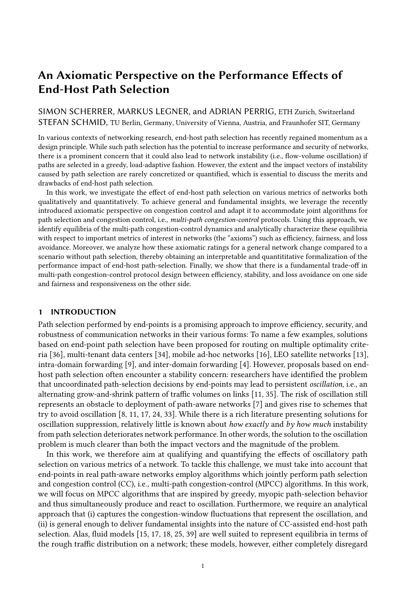# An Axiomatic Perspective on the Performance Effects of End-Host Path Selection

# SIMON SCHERRER, MARKUS LEGNER, and ADRIAN PERRIG, ETH Zurich, Switzerland STEFAN SCHMID, TU Berlin, Germany, University of Vienna, Austria, and Fraunhofer SIT, Germany

In various contexts of networking research, end-host path selection has recently regained momentum as a design principle. While such path selection has the potential to increase performance and security of networks, there is a prominent concern that it could also lead to network instability (i.e., flow-volume oscillation) if paths are selected in a greedy, load-adaptive fashion. However, the extent and the impact vectors of instability caused by path selection are rarely concretized or quantified, which is essential to discuss the merits and drawbacks of end-host path selection.

In this work, we investigate the effect of end-host path selection on various metrics of networks both qualitatively and quantitatively. To achieve general and fundamental insights, we leverage the recently introduced axiomatic perspective on congestion control and adapt it to accommodate joint algorithms for path selection and congestion control, i.e., multi-path congestion-control protocols. Using this approach, we identify equilibria of the multi-path congestion-control dynamics and analytically characterize these equilibria with respect to important metrics of interest in networks (the "axioms") such as efficiency, fairness, and loss avoidance. Moreover, we analyze how these axiomatic ratings for a general network change compared to a scenario without path selection, thereby obtaining an interpretable and quantititative formalization of the performance impact of end-host path-selection. Finally, we show that there is a fundamental trade-off in multi-path congestion-control protocol design between efficiency, stability, and loss avoidance on one side and fairness and responsiveness on the other side.

#### 1 INTRODUCTION

Path selection performed by end-points is a promising approach to improve efficiency, security, and robustness of communication networks in their various forms: To name a few examples, solutions based on end-point path selection have been proposed for routing on multiple optimality criteria [\[36\]](#page-21-0), multi-tenant data centers [\[34\]](#page-21-1), mobile ad-hoc networks [\[16\]](#page-20-0), LEO satellite networks [\[13\]](#page-20-1), intra-domain forwarding [\[9\]](#page-20-2), and inter-domain forwarding [\[4\]](#page-20-3). However, proposals based on endhost path selection often encounter a stability concern: researchers have identified the problem that uncoordinated path-selection decisions by end-points may lead to persistent oscillation, i.e., an alternating grow-and-shrink pattern of traffic volumes on links [\[11,](#page-20-4) [35\]](#page-21-2). The risk of oscillation still represents an obstacle to deployment of path-aware networks [\[7\]](#page-20-5) and gives rise to schemes that try to avoid oscillation [\[8,](#page-20-6) [11,](#page-20-4) [17,](#page-20-7) [24,](#page-20-8) [33\]](#page-21-3). While there is a rich literature presenting solutions for oscillation suppression, relatively little is known about how exactly and by how much instability from path selection deteriorates network performance. In other words, the solution to the oscillation problem is much clearer than both the impact vectors and the magnitude of the problem.

In this work, we therefore aim at qualifying and quantifying the effects of oscillatory path selection on various metrics of a network. To tackle this challenge, we must take into account that end-points in real path-aware networks employ algorithms which jointly perform path selection and congestion control (CC), i.e., multi-path congestion-control (MPCC) algorithms. In this work, we will focus on MPCC algorithms that are inspired by greedy, myopic path-selection behavior and thus simultaneously produce and react to oscillation. Furthermore, we require an analytical approach that (i) captures the congestion-window fluctuations that represent the oscillation, and (ii) is general enough to deliver fundamental insights into the nature of CC-assisted end-host path selection. Alas, fluid models [\[15,](#page-20-9) [17,](#page-20-7) [18,](#page-20-10) [25,](#page-20-11) [39\]](#page-21-4) are well suited to represent equilibria in terms of the rough traffic distribution on a network; these models, however, either completely disregard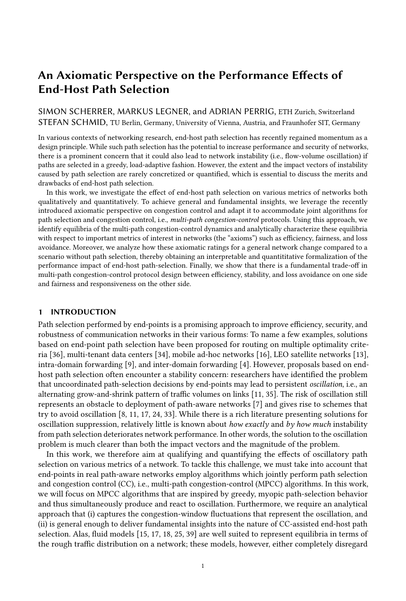congestion-control dynamics (such as the classic Wardrop model [\[39\]](#page-21-4)) or fail to capture the smallscale dynamics of congestion-window fluctuations (as noted by Peng et al., who themselves operate with a fluid model [\[25\]](#page-20-11)). More applied approaches, as employed in the design of multi-path TCP (MPTCP) [\[19,](#page-20-12) [27,](#page-20-13) [40\]](#page-21-5), can capture oscillatory phenomena (e.g., the 'flappiness' of protocols [\[19\]](#page-20-12)), but these approaches rely on ad-hoc reasoning from stylized network examples and experimental validation, which reduces their viability as generic analytic tools.

We argue that a so-called *axiomatic* approach recently initiated by Zarchy et al. [\[41\]](#page-21-6) offers both the right analytical resolution and the required generality for the question at hand. This approach is axiomatic in a sense borrowed from economics and game theory, where properties with obvious desirability (e.g., the acyclicity of preferences [\[5\]](#page-20-14) or the fairness of a bargaining outcome [\[23\]](#page-20-15)) are formulated as axioms. Zarchy et al. apply this approach to congestion control by capturing desirable properties of CC protocols such as efficiency, fairness, and stability in axioms. The approach allows to analytically rate protocols with respect to these axioms and highlight the fundamental trade-offs between them. In our work, we further extend Zarchy et al.'s model to a multi-path context with the goal of characterizing fundamental properties of joint algorithms for path selection and CC.

### 1.1 Contribution

Our paper uses a theoretical model to investigate how network performance is affected by the instability due to greedy end-point path selection. In contrast to earlier theoretical models, we develop a model that is able to capture both path-selection dynamics and congestion-window fluctuations in [§2.](#page-1-0) Within this model, we identify and formalize different classes of dynamic equilibria (in [§3](#page-6-0) and [§4\)](#page-9-0) to which the flow dynamics can be expected to converge exponentially fast. These equilibria are essential for the analytical rating of MPCC protocols: In [§5,](#page-11-0) we rate these dynamic equilibria with respect to a number of performance metrics (the axioms), which are inspired by the recently developed axiomatic approach to CC [\[41\]](#page-21-6), but extended to accommodate path selection. This equilibrium formalization allows to derive the following insights in [§6:](#page-14-0)

No trade-o between e ciency, convergence and loss avoidance: Through appropriate protocol tuning, the metrics efficiency, loss avoidance, and convergence can be simultaneously optimized. Hence, there is no trade-off between these properties in theory.

Trade-o with fairness and responsiveness: There is, however, a fundamental trade-off between the above metrics and the fairness and the responsiveness of a MPCC protocol. In particular, higher responsiveness makes a protocol less efficient, but more fair.

 $E$  ects of introducing end-host path selection: By contrasting the axiomatic performance ratings for a general network with and without path selection, we obtain a multifaceted formalization of the performance impact of introducing end-host path selection. This formalization allows to interpret and quantify how unstable path selection affects network performance depending on network parameters. The insights gained from this approach show that there are both benefits and drawbacks of end-host path selection.

## <span id="page-1-0"></span>2 MODEL AND ASSUMPTIONS

#### 2.1 Discrete Model

We leverage the analytical model of congestion control proposed by Zarchy et al. [\[41\]](#page-21-6) and extend it to a multi-path context with path selection as illustrated in Fig. [1.](#page-2-0) In summary, N agents (denoted by set  $A = \mathbf{N}$  := f0, ...,  $N$  1g) compete for bandwidth on the bottleneck links of P parallel paths from set Π. Each agent  $i$  2  $\AA$  maintains a congestion window with size  $\emph{cwnd}_i$ , which evolves over time t. At each moment  $t \, 2 \, N_0$  in discrete time, any path  $\pi \, \mathcal{Q}$   $\Pi$  accommodates a set  $A_{\pi}$ <sup>1</sup> of agents that use path  $\pi$  at moment t, and carries load  $f_{\pi}^{-1}t^{\circ} = \int_{i2A_{\pi}^{-1}t^{\circ}} cwnd_i^{1}t^{\circ}$ . Moreover, in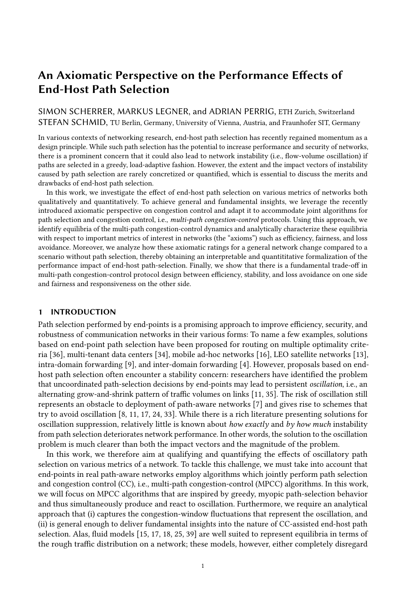Table 1. Notation used in our model in alphabetic order.

| Symbol                                             | Description                                                                                 |
|----------------------------------------------------|---------------------------------------------------------------------------------------------|
|                                                    | $A = \sqrt{N}$ Set of agents in network                                                     |
|                                                    | $A_{\pi}^{\dagger}t^{\circ}$ Set of agents using path $\pi$ at time t                       |
| $a_{\pi}{}^{1}t^{0}$                               | Number of agents using path $\pi$ at time $t$                                               |
| $\alpha^1\tau^0$                                   | Additive increase given continuity time $\tau$                                              |
| $\beta$                                            | Multiplicative-decrease parameter                                                           |
| $\mathcal{C}_{0}$                                  | Total bottleneck capacity of network                                                        |
| $C_{\pi}$                                          | Bottleneck capacity of path $\pi$                                                           |
| $cwnd_i$ <sup>1</sup> $t^{\circ}$                  | Congestion-window size of agent $i$ at time $t$                                             |
| $f^1t^0$                                           | Combined congestion-window size of all agents at time $t$                                   |
| $f_{\pi}$ <sup>1</sup> t <sup>o</sup>              | Combined congestion-window size of all agents using path $\pi$ at time t                    |
| $M_{\pi}$ <sup>1</sup> t <sup>o</sup>              | Set of agents who migrate away from path $\pi$ at time t                                    |
| m                                                  | Responsiveness (probability of switching to more attractive path in each time step)         |
| N                                                  | Number of agents in the network                                                             |
| $\boldsymbol{P}$                                   | Number of paths in the network                                                              |
| Π                                                  | Set of paths in the network                                                                 |
|                                                    | $\pi_i$ <sup>1</sup> t <sup>o</sup> Path used by agent <i>i</i> at time <i>t</i>            |
| $\pi_{\min}$ <sup>1</sup> t <sup>o</sup>           | Path with lowest utilization at time t                                                      |
| r                                                  | Reset softness (multiplicative decrease of congestion-window size on path switch)           |
| rank <sup><math>1</math></sup> $\pi$ , $t^{\circ}$ | Rank of path $\pi$ at time t (number of paths with higher utilization than $\pi$ at time t) |
| $\tau$                                             | Continuity time (time since last loss or path switch)                                       |
| $\tau_i$ <sup>1</sup> $t^{\circ}$                  | Continuity time of agent $i$ at time $t$                                                    |
| $z^1a_\pi{}^1t^0, N^0$                             | Scaling factor for extrapolating on-migration flow volume from path flow                    |

<span id="page-2-0"></span>

Fig. 1. Illustration of discrete model (Notation:  $\overline{N} = N-1$ ). The dotted arrow visualizes path migration by agent 1 from path  $\pi$  to path  $\pi^{\text{00}}$ .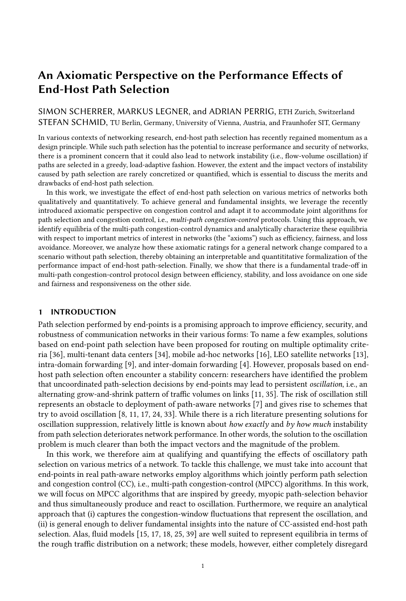each time step  $t$ , every agent  $i$  takes two actions. First, agent  $i$  performs congestion control, i.e., adapts its congestion-window size  $cwnd_i^1 t^{\circ}$  according to a chosen CC protocol  $CC_i^1 t$ ,  $cwnd_i^1 t^{\circ\circ}$ , resulting in congestion-window size  $cwnd_i^1t$ , 1<sup>o</sup>. Second, agent *i* performs *path selection*, i.e., determines the path  $\pi$  such that  $i \, 2 \, A_{\pi}^{\dagger} t^{\circ}$  and cwnd<sub>i</sub><sup> $\dagger t^{\circ}$ </sup> is included in  $f_{\pi}^{\dagger} t^{\circ}$ , according to a given path-selection strategy. In Fig. [1](#page-2-0) as well as in our following analysis, agents implement probabilistic greedy path selection, i.e., switch to the path carrying the lowest load in the last time step with a given probability  $m$ . Finally, in order to investigate different behaviors for congestion-window adaptation upon path switches, we introduce a reset-softness parameter  $r \geq 0.90$ , 1<sup> $\mu$ </sup> that determines the extent of congestion-window reduction for path-switching agents (e.g., agent 1 in Fig. [1\)](#page-2-0).

The agents are further constrained by path capacities  $C_{\pi}$ ,  $\pi$  2  $\Pi$ , where  $C_{\pi}$  is the amount of data in maximum segment size (MSS) that can be transmitted on path  $\pi$  during one round-trip time (RTT). If the capacity  $C_{\pi}$  of path  $\pi$  is exceeded by the flow  $f_{\pi}^{-1}t^{\circ}$ , the agents  $A_{\pi}^{-1}t^{\circ}$  experience packet loss and take this loss into account in their congestion-control protocol.<sup>[1](#page-3-0)</sup> For example, the TCP Reno protocol, with a multiplicative decrease of 0.5 as a reaction to loss and an additive increase of 1 otherwise, is modelled as follows for an agent  $i$  using path  $\pi$  at time  $t$ :

$$
TCPReno1t, cwndi1t00 = \begin{cases} cwndi1t0 \downarrow 1 & \text{if } f\pi1t0 \hspace{0.05in} C_{\pi} \\ 0.5 & cwndi1t0 & \text{otherwise} \end{cases}
$$
 (1)

## <span id="page-3-1"></span>2.2 Scenario of Interest and Assumptions

Since the goal of this work is to characterize the worst-case effects of oscillatory path selection, our analysis throughout the paper will focus on a network scenario that maximizes the severity of load oscillation. This scenario has the following properties, which henceforth serve as assumptions:

Greedy load-adaptive path selection. Oscillation is caused by greedy, myopic path selection behavior [\[33\]](#page-21-3), which dynamically determines the number  $a_{\pi}^{\dagger} t^{\circ} = j A_{\pi}^{\dagger} t^{\circ} j$  of agents on path  $\pi$ . In any time step *t*, agents seek out the path  $\pi_{\min}^{1} t^{\circ}$  with the lowest bottleneck utilization  $f_{\pi}^{1} t^{\circ} \cdot C_{\pi}$ and hence the lowest latency (assuming roughly equal propagation delay of all paths as stated below) and lowest loss rate. Since monitoring the state of alternative paths and switching paths consume resources, agents may not consider a path change in every time step. Instead, the pathselection behavior is regulated by a *path-migration probability m*  $2 \frac{10}{10}$ , 1<sup>*h*</sup>, denoting the probability with which an agent switches to a more attractive path in any time step. Alternatively,  $m$  can be interpreted as a measure for the responsiveness of agents.

Sequential multi-path usage. The intensity of oscillations grows with the size of shifted flow volume per time unit. In order to maximize oscillation, we therefore assume that a path-switching agent completely stops using its previously used path and exclusively sends on the newly selected path. This coarse-granular migration behavior produces sequential instead of concurrent usage of multiple paths. This mode of sequential multi-path usage approximates the actual behavior of real-world algorithms such as MPTCP, which tends to use only the most attractive path for data transmission and sends a negligible amount of probing traffic over the alternative paths [\[17,](#page-20-7) [19,](#page-20-12) [40\]](#page-21-5). Moreover, the average utility improvement per user that is possible by concurrently using multiple paths instead of a single selected path vanishes for a high number of agents [\[38\]](#page-21-7). Sequential multi-path usage implies that  $\int_{\pi/2\pi}^{\pi} a_{\pi}^{\dagger} t^{\circ} = N \, \vartheta t$ .

Disjoint and similar paths. We investigate a network consisting of paths that are parallel, disjoint and equal in terms of latency  $D_{\pi}$  and bottleneck capacity  $C_{\pi} = C \cdot P$ , where C is the bottleneck capacity of the complete network. Such a network, while being a simplification of

<span id="page-3-0"></span><sup>&</sup>lt;sup>1</sup>We note that this loss modelling is a simplification in three respects. First, loss may already occur when  $f_{\pi}$ <sup>1</sup> t<sup>o</sup> *i*  $s_{\pi}$ , namely if all agents send out all traffic  $f^{\dagger}t^{\circ}$  in a burst that exceeds the buffer size  $s_{\pi}$ . Second, even if  $f_{\pi}^{\dagger}t^{\circ}$  *i*  $C_{\pi}$ , the loss may not be perceived by all agents. Third, CC algorithms may react differently depending on the number of recent losses.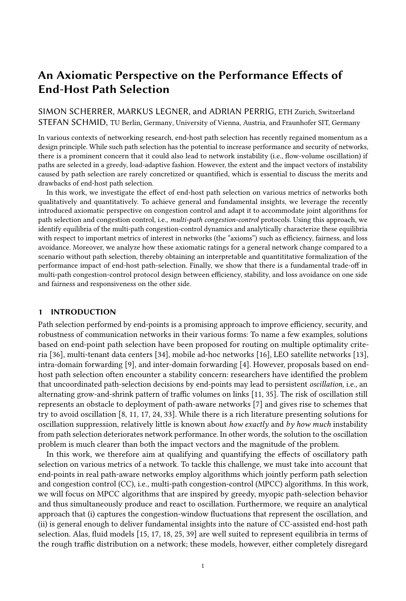general networks, is likely to bring out the worst-case effects of myopic, greedy path selection, which are the subject of this paper. In particular, load oscillations are strongest if the actions of the sending agents are strongly correlated because they react to the same (potentially misleading) feedback signals (i.e., path loss and latency) simultaneously [\[33\]](#page-21-3). If agents sharing a link react to different feedback signals or at different times, e.g., because they are using different paths with different round-trip latencies, their actions are less strongly correlated and the flow dynamics are likely to oscillate less. The feedback synchronization by equal path RTTs also ensures that the discrete time steps of the model have consistent duration across all paths.

## 2.3 Stochastic Dynamics

In summary, a multi-path congestion-control protocol  $MPCC^{\dagger}CC, m, r^{\circ}$  is a combination of a CC protocol  $CC<sup>1t</sup>°$ , a responsiveness parameter  $m$ , and a reset-softness parameter  $r$ . In a network with path selection, the MPCC dynamics can thus be represented by a pair of functions  $a_{\pi}$   $a_{\pi}$   $b^{\circ}$ ,  $f_{\pi}$   $b^{\circ}$ for any path  $\pi$  2  $\Pi$ . Since the path-selection behavior is probabilistic (regulated by responsiveness parameter  $m$ ), the MPCC dynamics are not uniquely determined by initial conditions, but need to be modeled as a stochastic process. In particular, the MPCC dynamics under universal adoption of  $MPCC<sup>1</sup>CC, m, r<sup>o</sup>$ , are given by

$$
a_{\pi}^{\dagger}t \, \square^{\circ} = \begin{pmatrix} a_{\pi}^{\dagger}t^{\circ} & M_{\pi}^{\dagger}t^{\circ} \\ a_{\pi}^{\dagger}t^{\circ} & \bar{\pi} < \pi \end{pmatrix} \text{ iff } \pi < \pi_{\min}^{\dagger}t^{\circ} \text{ then}
$$
\n
$$
a_{\pi}^{\dagger}t^{\circ} \qquad \text{otherwise}
$$
\n
$$
(2a)
$$

<span id="page-4-1"></span><span id="page-4-0"></span>
$$
f_{\pi}^1 t \, , \, 1^0 = \int_{\pi}^{1} t^0 \, \int_{\tilde{\pi} < \pi} i2M_{\pi} t^0 \, \, \text{cwnd}_i^1 t^0 \, , \qquad i2A_{\pi}^1 t^0 \, \text{d} \text{cwnd}_i^1 t^0 \, \qquad \text{if } \pi < \pi_{\min}^1 t^0 \tag{2b}
$$
\n
$$
f_{\pi}^1 t^0 \, , \qquad \tilde{f}_{\pi}^1 t^0 \, , \qquad i2M_{\pi}^1 t^0 \, \, \text{cwnd}_j^1 t^0 \, , \qquad i2A_{\pi}^1 t^0 \, \, \text{d} \text{cwnd}_i^1 t^0 \, \qquad \text{otherwise},
$$

where  $M_{\pi}$ <sup>1</sup><sup>°</sup> is a random subset of  $A_{\pi}$ <sup>1</sup><sup>°</sup>, which contains the agents who leave path  $\pi$  at time *t*, and  $\Delta c wnd_i^1t^o = c wnd_i^1t$ ,  $1^o$   $c wnd_i^1t^o$ . Intuitively, the flow on a more congested path  $\pi$  is reduced by the congestion windows of all agents  $M_{\pi}$  that leave the path, and increased by the congestionwindow growth of the remaining agents  $A_{\pi}$ <sup>1</sup><sup>°</sup> n  $M_{\pi}$ <sup>1</sup><sup>°</sup>. In contrast, the flow on the least congested path  $\pi$  is increased by the reset congestion-window sizes  $r \cdot \text{cwnd}_i^{-1} t^\circ$  of the agents  $j \cdot 2 M_{\pi}$  who migrate to path  $\pi$  and the congestion-window growth of the previously present agents  $A_{\pi}^{\dagger}$   $\mathbf{t}^{\circ}$ .

## 2.4 Expected Dynamics

While the formulations in Eq. [\(2\)](#page-4-0) capture the evolutionary dynamics of an MPCC system, their discrete and probabilistic nature hinders analytic treatment. However, as we investigate large-scale systems with a high number of agents, the law of large numbers allows that the probabilistic elements in Eq. [\(2\)](#page-4-0) can be well approximated by their expected values and traffic randomness can be greatly ignored. For the remainder of this paper, we therefore consider the expected MPCC dynamics, where the recursion on the random variables  $a_{\pi}^{\dagger}t^{\circ}$ ,  $f_{\pi}^{\dagger}t^{\circ}$  is approximated with a recursion on the expectations  $\hat{a}_{\pi}^{\dagger}t^{\circ}, \hat{f}_{\pi}^{\dagger}t^{\circ}$  (where we write  $\hat{x} := \mathbb{E} \hat{x} \times \hat{y}$  for any function x). The accuracy of this approximation will be validated with simulations in Appendix [B.](#page-23-0)

Concerning the agent dynamics in Eq. [\(2a\)](#page-4-1), we note that E<sub>i</sub> $M_{\pi}$ <sup>1</sup><sup>0</sup><sup>o</sup>j $\mu$  =  $m \hat{a}_{\pi}$ <sup>1</sup><sup>0</sup> for any path  $\pi$  <  $\pi_{\min}$ <sup>1</sup><sup>o</sup>. Moreover, the expected volume of flow associated with the agents in  $M_{\pi}$  in Eq. [\(2b\)](#page-4-0) is a proportional share of the expected total flow  $\hat{f}_{\pi}^{-1}t^{\circ}$  on path  $\pi: \mathbb{E}$   $\sum_{i \geq M_{\pi}}^{M_{\pi}} c \leq \pi/2$   $\hat{f}_{\pi}^{-1}t^{\circ}$ . By the same argument, it holds that  $E = \int_{\tilde{\pi} < \pi}^{\pi} i 2M_{\tilde{\pi}}^1 t^{\circ}$  r cwnd<sub>j</sub>  $1 t^0$  =  $m r$   $\int_{\tilde{\pi} < \pi}^{\pi} i 1 t^{\circ}$  for  $\pi = \pi_{\min}^1 t^{\circ}$ . However, in order to make the second case of Eq. [\(2b\)](#page-4-0) independent of flows  $f_{\pi}$  on alternative paths, we additionally make the following approximation:  $\int_{\tilde{\pi} < \pi}^{\pi} \hat{f}_{\tilde{\pi}}^* i t^{\circ} = N - \hat{a}_{\pi} \hat{a}_{\pi}^* i t^{\circ} + \hat{a}_{\pi} \hat{a}_{\pi}^* i t^{\circ} = N - \hat{a}_{\pi} \hat{a}_{\pi}^* i t^{\circ} + \hat{a}_{\pi} \hat{a}_{\pi}^* i t^{\circ}$  $z^{\dagger} \hat{a}_{\pi}^{\dagger} t^{\circ}$ ,  $N^{\circ} \hat{f}_{\pi}^{\dagger} t^{\circ}$ , where  $z^{\dagger} \hat{a}_{\pi}^{\dagger} t^{\circ}$ ,  $N^{\circ}$  is henceforth referred to as the *extrapolation factor*. In this approximation, the flow on path  $\pi$  is scaled proportionally to the number of agents  $N \hat{a}_{\pi}^{\dagger}i^{\circ}$  on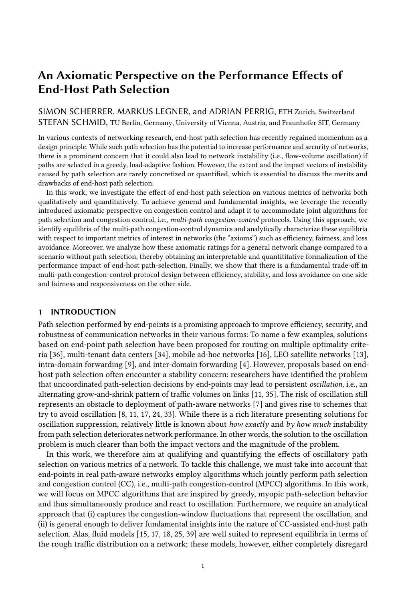other paths. This approximation can be justified on the grounds that in a steady state, imbalances in path load are likely to stem from imbalances in the number of agents between paths, not from imbalances in the average congestion-window size between paths.

Finally, in order to arrive at the expected flow dynamics  $\hat{f}_{\pi}$ <sup>1</sup>t<sup>o</sup>, the expected combined congestionwindow change  $E^*$   $\bigcup_{k \geq A_{\pi}^{-1} t^{\circ}} \Delta c w n d_k^{-1} t^{\circ}$  (or for  $A_{\pi}^{-1} t$  , 1<sup>o</sup>, respectively) must be formalized. Of course, this change depends on the CC protocols employed by the agents. In order to maximize the generality of our analysis, we rely on the following generic form of a loss-based CC protocol employed by each agent *i*, where  $\pi_i$ <sup>1</sup> $t$ <sup>o</sup> denotes the path that agent *i* uses at time *t*:

<span id="page-5-2"></span>
$$
CC_{i}^{1}t, \; cwnd_{i}^{1}t^{00} = \begin{cases} \text{cwnd}_{i}^{1}t^{0} & \text{if } f_{\pi_{i}^{1}t^{0}}^{1}t^{0} & C_{\pi_{i}^{1}t^{0}} \\ \beta & \text{cwnd}_{i}^{1}t^{0} & \text{otherwise} \end{cases}
$$
(3)

Here,  $\tau_i^1 t^\circ$  is the so-called *continuity time* of agent *i*, i.e., the number of time steps in which agent  $i$  has already been on its current path without experiencing packet loss. This continuity time is the argument to a function  $\alpha$ , which determines the additive increase to the congestion window in absence of loss. This formulation allows to mimic the window-growth behavior in classic TCP Reno [\[22\]](#page-20-16), in the widely deployed TCP CUBIC [\[14\]](#page-20-17), in the slow-start phase of many TCP protocols [\[37\]](#page-21-8), or in more theoretical MIMD protocols [\[2\]](#page-20-18). Finally,  $\beta$  2  $\gamma$ 0, 1¼ is a parameter that determines the multiplicative decrease of the congestion-window size in the case of packet loss, which is the predominant practice in CC protocols.

Based on the probability distribution for the continuity time  $\tau_i^{\dagger}i^{\circ}$  of any agent  $i \in A_{\pi}^{\dagger}i^{\circ}$  at time t from Appendix [A,](#page-22-0) we can calculate the average congestion-window increase per agent conditioned on the path  $\pi$  used by the agent at time  $t: \hat{\alpha}_{\pi}^{\dagger} t^{\circ} = \prod_{\tau=0}^{\infty} P \times \tau_i^{\dagger} t^{\circ} = \tau$  j  $i \in A_{\pi}^{\dagger} t^{\circ}$   $\forall i \in \mathbb{N}$ . This average congestion-window increase then allows to obtain the aggregate additive increase in absence of loss. In contrast, loss reduces the expected flow volume  $\hat{f}_{\pi}^{\dagger}t^{\circ}$  through multiplicative decrease  $\beta$ , complementing the effects of out-migration (for  $\pi < \pi_{min}^{-1}t^{\circ}$ ) or in-migration (for  $\pi_{min}^{-1}t^{\circ}$ ). Under universal adoption of a protocol  $MPCC^{\dagger}CC, m, r^{\circ}$ , the expected dynamics therefore are:

<span id="page-5-1"></span>
$$
\hat{a}_{\pi}^{\dagger}t \, \square \, 1^{\circ} = \begin{cases} 1 & m^{\circ} \quad \hat{a}_{\pi}^{\dagger}t^{\circ} \\ 1 & m^{\circ} \quad \hat{a}_{\pi}^{\dagger}t^{\circ} \end{cases} \quad \text{if } \pi < \pi_{\min}^{\dagger}t^{\circ} \tag{4a}
$$

<span id="page-5-0"></span>
$$
\hat{f}_{\pi}^{\dagger}t \, ,\, 1^{0} = \n\begin{array}{c}\n\mathbf{3}^{1}1 \, m^{0} \, \hat{f}_{\pi}^{\dagger}t^{0} \, ,\, \hat{\alpha}_{\pi}^{\dagger}t^{0} \, 11 \, m^{0} \, \hat{a}_{\pi}^{\dagger}t^{0} \\
1 \, ,\, m \, r \, z^{1}\hat{a}_{\pi}^{\dagger}t^{0}, N^{0} \, \hat{f}_{\pi}^{\dagger}t^{0} \, ,\, \hat{\alpha}_{\pi}^{\dagger}t^{0} \, \hat{a}_{\pi}^{\dagger}t^{0} \, \text{if} \, \pi = \pi_{\min}^{\dagger}t^{0} \wedge \hat{f}_{\pi}^{\dagger}t^{0} \, C_{\pi} \\
\mathbf{3}^{0} \, \hat{f}_{\pi}^{\dagger}1 \, m^{0} \, \hat{f}_{\pi}^{\dagger}t^{0} \\
\mathbf{4}^{1} \, \hat{f}_{\pi}^{\dagger}1 \, \hat{f}_{\pi}^{\dagger}1 \, \hat{f}_{\pi}^{\dagger}1 \, \hat{f}_{\pi}^{\dagger}1 \, \hat{f}_{\pi}^{\dagger}1 \, \hat{f}_{\pi}^{\dagger}1 \, \hat{f}_{\pi}^{\dagger}1 \, \hat{f}_{\pi}^{\dagger}1 \, \hat{f}_{\pi}^{\dagger}1 \, \hat{f}_{\pi}^{\dagger}1 \, \hat{f}_{\pi}^{\dagger}1 \, \hat{f}_{\pi}^{\dagger}1 \, \hat{f}_{\pi}^{\dagger}1 \, \hat{f}_{\pi}^{\dagger}1 \, \hat{f}_{\pi}^{\dagger}1 \, \hat{f}_{\pi}^{\dagger}1 \, \hat{f}_{\pi}^{\dagger}1 \, \hat{f}_{\pi}^{\dagger}1 \, \hat{f}_{\pi}^{\dagger}1 \, \hat{f}_{\pi}^{\dagger}1 \, \hat{f}_{\pi}^{\dagger}1 \, \hat{f}_{\pi}^{\dagger}1 \, \hat{f}_{\pi}^{\dagger}1 \, \hat{f}_{\pi}^{\dagger}1 \, \hat{f}_{\pi}^{\dagger}1 \, \hat{f}_{\pi}^{\dagger}1 \, \hat{f}_{\pi}
$$

#### 2.5 Limitations

While our model presents a tractable approach to analyze oscillatory MPCC dynamics, our investigation and the resulting insights have clear limitations worth addressing in future research. In particular, as our network model is an extension of the network model by Zarchy et al. [\[41\]](#page-21-6), our work inherits some limitations noted by Zarchy et al., most importantly the assumption of synchronized feedback, the focus on a specific type of network, and the disregard for queuing dynamics. However, it is noteworthy that our work addressed the previously identified challenge concerning randomized protocols through the concept of expected dynamics. In general, the comprehensiveness of our analysis would benefit from relaxing the worst-case conditions elicited in Section [2.2,](#page-3-1) most prominently the assumption of disjoint and similar paths, and from introducing latency-based and model-based CC protocols.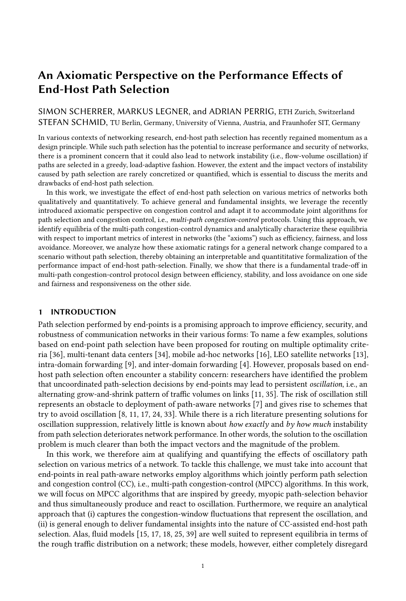## <span id="page-6-0"></span>3 LOSSLESS EQUILIBRIA

In order to rate MPCC protocols, we focus on the equilibria that these protocols induce, i.e., stable load patterns to which the MPCC dynamics from Eq. [\(4\)](#page-5-0) eventually converge. In this section, we characterize one class of equilibria that are attained before the capacity limit of any bottleneck link is exceeded, i.e., these equilibria are lossless. Equilibria without this lossless property, i.e., lossy equilibria, are presented in Section [4.](#page-9-0) All of these equilibria are dynamic equilibria, i.e., periodic patterns of the number of agents and the load on the different paths. Note that the insights regarding equlibria only apply to the theoretical construct of expected dynamics in an exact sense, and only approximately apply to actual MPCC dynamics.

## <span id="page-6-3"></span>3.1 Structure of Lossless Equilibria

In order to characterize lossless equilibria, we need to investigate whether the expected MPCC dynamics tend to exhibit a certain pattern in the case where capacity limits are disregarded. Unfortunately, even this simplified discrete dynamical system (determined by Eq. [\(4\)](#page-5-0) without the two last cases of Eq. [\(4b\)](#page-5-0)) is analytically intractable due to the presence of case distinctions in the evolution functions [\[12\]](#page-20-19). Instead, we use a hybrid approach, similar to previous work [\[1\]](#page-20-20): By performing simulations as in Fig. [10,](#page-23-1) we arrive at the following two observations about MPCC dynamics with greedy, myopic agents sharing parallel and similar paths (cf. Section [2.2\)](#page-3-1), which serve as a basis for further analytical investigation:

In-migration is utilization-maximizing: Whenever path  $\pi$  with minimal utilization within the expected dynamics, i.e.,  $\hat{u}_{\pi}^{\dagger}t^{\circ} = \hat{f}_{\pi}^{\dagger}t^{\circ} \cdot C \cdot P^{\circ}$ , experiences in-migration according to the second case of Eq. [\(4b\)](#page-5-0), this path tends to become the most utilized path in the next time step.<sup>[2](#page-6-1)</sup>

Out-migration is order-preserving: If two paths  $\pi$  and  $\tilde{\pi}$  with  $\hat{u}_{\pi}$ <sup>1</sup> $t^{\circ}$  *i*  $\hat{u}_{\tilde{\pi}}$ <sup>1</sup> $t^{\circ}$  experience out-migration according to the first case of Eq. [\(4b\)](#page-5-0), it tends to hold that  $\hat{u}_{\pi}^{\dagger}$   $t_{\pi}^{\dagger}$   $\hat{u}_{\pi}^{\dagger}$   $\hat{u}_{\pi}^{\dagger}$   $\hat{u}_{\pi}^{\dagger}$   $\hat{u}_{\pi}$ 

If the expected dynamics consistently conform to these two observations, they exhibit the following pattern which uniquely determines the least utilized path in every time step:

DEFINITION 1. MPCC dynamics exhibit P-step oscillation if there exists a time  $t_0$  0 such that

8T 0. 
$$
\text{rank}^1 \pi, t_0^{\circ} = p = \text{rank}^1 \pi, t_0 \sqrt{1-\frac{p}{n}} = \frac{1}{p} \sqrt{1-\frac{p}{n}}
$$
 mod P, (5)

where rank<sup> $\pi$ </sup>,  $t^{\circ}$  ranks all paths  $\pi$  2  $\Pi$  in descending order according to their utilization at time t:

<span id="page-6-4"></span>rank¹𝜋, 𝑡º = 𝑝 () jf𝜋˜ j 𝑢ˆ𝜋˜ ¹𝑡º ¡ 𝑢ˆ<sup>𝜋</sup> ¹𝑡ºgj = 𝑝. (6)

In  $P$ -step oscillation, the assignment of the rank to paths changes in a round-robin fashion, i.e., in any time step *t*, every path  $\pi$  rises by one rank, except the path with rank  $P$  1 (i.e., with the lowest expected utilization), which obtains rank 0 at time  $t_{\text{A}}$  1. After P time steps, a path reaches its original place in the ranking order, i.e., rank<sup>1</sup> $\pi$ ,  $t^{\circ}$  = rank<sup>1</sup> $\pi$ ,  $t_{\circ}$ ,  $t^{\circ}$  for all  $t$   $t_0$ . We present an argument for the prevalence of *P*-step oscillation in Section [3.3.](#page-8-0)

#### <span id="page-6-2"></span>3.2 Lossless Agent Equilibrium

As this P-step oscillation uniquely determines the least congested path in any time step  $t$   $t_0$ , this pattern also determines the agent-migration dynamics. Starting from an agent distribution  $fa_{\pi}^{-1}t_0^{\circ}g_{\pi}z_{\Pi}$  at time  $t_0$ , all the paths  $\pi$  with rank  $\pi$ ,  $t_0^{\circ}$  < P 1 will experience an outflow of agents (according to case 1 in Eq. [\(4a\)](#page-5-1)) and only the path with rank  $P$  1 experiences an inflow of agents (according to case 2 in Eq. [\(4a\)](#page-5-1)). In a single round of P-step oscillation with start time  $t_0$ , the path  $\pi^{0}$ <sup>°</sup> with rank<sup>1</sup> $\pi^{10}$ <sup>°</sup>,  $t_0$ <sup>°</sup> = 0 will thus first experience agent outflow for P 1 times and then

<span id="page-6-1"></span> $2$ This observation suggests that myopic, greedy load-adaptive path selection is not a Nash equilibrium strategy, which has also been demonstrated by recent research [\[33\]](#page-21-3).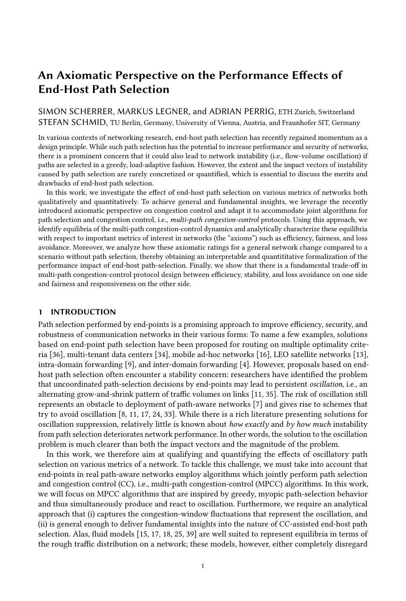<span id="page-7-1"></span>

**THE REAL PROPERTY AND**  $\hat{f}^{\left(}$ (0)  $\begin{bmatrix} 1 \\ 1 \end{bmatrix}$  $\hat{f}^{\left(}$ (1)  $\hat{f}^{\left( \right) }$  $^{(0)}(t)$  $\hat{f}^{\left(}$ (2)  $\hat{f}^($  $^{(1)}(t)$  $^{(2)}(t)$  $\hat{f}^($ 0 50 100 150 200 250 t

Fig. 2. Convergence to lossless agent equilibrium for  $P = 3$  and  $m = 0.1$ .

Fig. 3. Convergence to lossless flow equilibrium for  $P = 3$ ,  $m = 0.1$ , and  $r = 0.5$ .

once experience agent inflow. Hence, the following difference equation characterizes the discrete dynamical system for a granularity of  $P$  time steps:

<span id="page-7-0"></span>
$$
\hat{a}_{\pi^{10^{\circ}}}{}^{1}t_{0} \, , \, P^{\circ} = {}^{1}1 \, m^{\circ P} \, \hat{a}_{\pi^{10^{\circ}}}{}^{1}t_{0}^{\circ} \, , \, m \, N, \tag{7}
$$

To find an equilibrium of the dynamic system for the agent dynamics on  $\pi^{10^\circ}$ , we identify a fixed point of the difference equation in Eq. [\(7\)](#page-7-0), i.e., we solve

$$
\hat{a}^{10^{\circ}} = 11 \quad m^{\circ P} \quad \hat{a}^{10^{\circ}} \quad m \quad N \qquad (\ ) \qquad \hat{a}^{10^{\circ}} = \frac{m \quad N}{1 \quad 11 \quad m^{\circ P}}, \tag{8}
$$

where  $\hat{a}^{10^{\circ}}$  is the *equilibrium value* for any  $\hat{a}_{\pi}^{-1}t^{\circ}$  with rank  $^1\pi$ ,  $t_0^{-\circ}$  = 0, which generalizes as follows:

INSIGHT 1. Convergence to Unique Dynamic Agent Equilibrium. Under P-step oscillation, the expected agent dynamics  $\hat{a}_{\pi}$ <sup>1</sup><sup>°</sup> $g_{\pi 2\Pi}$  of an MPCC system asymptotically converge to a unique dynamic equilibrium, i.e., a cyclic series of states. This dynamic equilibrium of the agent dynamics consists of  $P$  states in each of which the rank- $p$  path accommodates the corresponding equilibrium amount of agents  $\hat{a}^{\dagger}p^{\circ}$ , i.e.,

$$
\hat{a}_{\pi}^{\dagger}t^{\circ} = \hat{a}^{\dagger}^{\text{rank}^{\dagger}\pi,t^{\circ\circ}}, \text{ where } \hat{a}^{\dagger}P^{\circ} = \frac{11}{1} \frac{m^{\circ p} m N}{1 \cdot 11 m^{\circ P}}.
$$
 (9)

This convergence can be shown by finding a trajectory function:

DEFINITION 2. A trajectory function  $x_{\pi}^{\perp p^{\circ}}$  is an explicit interpolation function that yields the correct value of path-specific dynamics  $x_{\pi}$ <sup>1</sup> detected moments where path  $\pi$  has rank  $p$ :

<span id="page-7-2"></span>
$$
8k \ 2 \ N \quad 0. \quad x_{\pi}^{1} p^{\circ} 1_{\tau_{\pi p}} \quad k \quad P^{\circ} = x_{\pi}^{1} t_{\pi p} \quad k \quad P^{\circ}, \tag{10}
$$

where  $t_{\pi p}$  = minft j t  $t_0 \wedge$  rank<sup>1</sup> $\pi$ ,  $t^{\circ}$  =  $p$ g and  $t_0$  is the start time of P-step oscillation.

For the agent dynamics  $\hat{a}_{\pi}^{\dagger}t^{\circ}$ , such a trajectory function is given by

$$
\hat{a}_{\pi}^{1p^{0}}{}^{1}t^{0} = \hat{a}_{\pi}^{1}t_{\pi p}^{0} \quad \hat{a}^{1p^{0}}^{1} 11 \quad m^{0t} t_{\pi p}^{1} \quad \hat{a}^{1p^{0}}.
$$
 (11)

As  $\lim_{t\to 1} \hat{a}_\pi^{1p^\circ}$   $t^\circ = \hat{a}^{1p^\circ}$ , the trajectory functions converge to the equilibrium found above exponen-tially fast. Figure [2](#page-7-1) visualizes the asymptotic convergence to the dynamic equilibrium  $\hat{a}^1{}^p{}^{\hat{0}}9_{p2}, p$ (highlighted in blue) along the trajectory functions.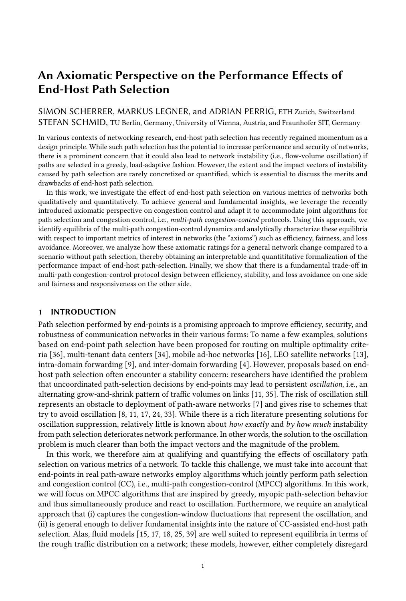### <span id="page-8-0"></span>3.3 Lossless Flow Equilibrium

After identifying the agent equilibrium in Section [3.2,](#page-6-2) we identify the equilibria of the MPCC flow dynamics  $\hat{f}_n^{\hat{i}}$ <sup>1</sup><sup>o</sup> $g_{\pi 2\Pi}$  in this section. We first consider *hypothetical equilibria*, which are equilibria of the flow dynamics under the assumption that the capacity of each path is never exceeded. In a second step, we will show under which conditions these hypothetical equilibria are actual equilibria.

3.3.1 Hypothetical Flow Equilibria. To find the hypothetical equilibria of the flow dynamics, we can simplify the flow dynamics from Eq. [\(4b\)](#page-5-0) by disregarding the capacity limit  $C \cdot P$ . In addition, we insert the equilibrium agent levels  $\hat{a}^{\dagger} \hat{p}^{\circ}$  from Section [3.2](#page-6-2) and the expected additive increase  $\hat{\alpha}^{\dagger} \hat{p}^{\circ}$ derived in Appendix [A](#page-22-0) to arrive at the following formulation:

$$
\hat{f}_{\pi}^{\dagger}t \, \square^{0} = \begin{cases}\n1 & m^{0} \quad \hat{f}_{\pi}^{\dagger}t^{0} \, \square \, \hat{\alpha}^{\dagger} \text{rank}^{\dagger} \pi, t^{00} \quad \hat{a}^{\dagger} \text{rank}^{\dagger} \pi, t^{00} \\
1 \, \square \, m \, r \, z^{1}m, P^{0} \, \hat{f}_{\pi}^{\dagger}t^{0} \, \square \, \hat{\alpha}^{\dagger} P^{-1^{0}} \, \hat{a}^{\dagger} P^{-1^{0}} \quad \text{if } \text{rank}^{\dagger} \pi, t^{0} = P \quad 1,\n\end{cases} \tag{12}
$$

where the extrapolation factor  $z$  is only dependent on  $m$  and  $P$  given the agent equilibrium, i.e.,  $z^1 m$ ,  $P^0 = N \cdot \hat{a}^{1 \cdot \hat{P}-1^0}$   $1 = 11 \cdot 11 \cdot m^{0 \cdot \hat{P}-10} \cdot 1 \cdot m^{0 \cdot \hat{P}-10}$ .

Similar to Eq. [\(7\)](#page-7-0), we set up a first-order difference equation for the dynamics for the path that has rank  $p$  at time  $t_0$  (where the P-step oscillation starts) and find a fixed point that is attained every  $P$  time steps, for example for ranks 0 and  $P_1$ :

<span id="page-8-2"></span>
$$
\hat{f}^{10^{\circ}} = \frac{1}{\prod_{p=0}^{1} \frac{1}{\hat{\alpha}^1 p^0} \sum_{p=0}^{1} \hat{\alpha}^1 p^0 \sum_{p=0}^{1} \hat{\alpha}^1 p^0 \sum_{p=0}^{1} \hat{\alpha}^1 p^1 \sum_{p=0}^{1} \hat{\alpha}^1 p^1 \sum_{p=0}^{1} \hat{\alpha}^1 p^0}} \tag{13a}
$$

$$
\hat{f}^{1P-1^{\circ}} = \frac{\int_{p=0}^{p-2} \hat{\alpha}^{1p^{\circ}} \cdot \hat{\alpha}^{1P-1^{\circ}} \cdot 1 \cdot m^{\circ P-1} \cdot \hat{a}^{1P-1^{\circ}}}{1 \cdot 1 \cdot 1 \cdot m \cdot r \cdot z^{1} m P^{\circ \circ \circ \cdot 1} \cdot 1 \cdot m^{\circ P-1}}.
$$
\n(13b)

The fixed point for a general rank  $p$  can be derived analogously and expressed by a similar (albeit quite complicated) term  $\hat{f}^1{}^{p}$ ° shown in Eq. [\(40\)](#page-25-0) in Appendix [C.](#page-25-1) These fixed points  $f \hat{f}^1{}^{p}$ °  $g_{p2}$ , $p_{\theta}$ constitute the hypothetical equilibrium, i.e., if a rank-*p* path carries flow volume  $\hat{f}^{1p}$ °, the path will carry this flow volume again  $P$  time steps later, where it is again the rank- $p$  path.

<span id="page-8-3"></span>Insight 2. Hypothetical Dynamic Flow Equilibrium. If capacity limits of links are disregarded, the dynamic equilibrium of the flow dynamics  $f \hat{f}_{\pi}$ <sup>1</sup><sup>°</sup> $g_{\pi 2\Pi}$  consists of *P* states in each of which the rank-p path accommodates flow volume  $\hat{f}^{1p^{\circ}}$ .

In order for such an equilibrium to be valid, it must be consistent with P-step oscillation, i.e., it must hold that  $\hat{f}^{1p^{\circ}}$   $j \hat{f}^{1p}$  is 1<sup>0</sup> for all  $p \geq p$  1<sup>1</sup>. Interestingly, if a certain parameter combination is associated with an invalid equilibrium, it follows that  $P$ -step oscillation is fundamentally impossible for that parameter combination. However, we show in Appendix [C](#page-25-1) that only a small part of the parameter space, containing rather extreme parameters, is inconsistent with P-step oscillation.

Similarly as in Section [3.2,](#page-6-2) convergence to this equilibrium can be proven using a trajectory function (cf. Definition [2\)](#page-7-2). The following trajectory function yields the correct flow volume in all subsequent time steps where path  $\pi$  has rank  $p$  again:

<span id="page-8-4"></span>
$$
\hat{f}_{\pi}^{1p^{\circ}}{}^{1}t^{\circ} = \hat{f}_{\pi}^{1}t_{\pi p}^{^{\circ}} \hat{f}^{1p^{\circ}} \qquad 1_{1} \qquad m \qquad r \qquad z^{1}m, P^{\circ\circ} \qquad 1_{1} \qquad m^{\circ P} \qquad 1 \qquad \frac{t \cdot t_{\pi p}}{^P} \qquad \hat{f}^{1p^{\circ}}. \tag{14}
$$

The limit of this trajectory function for  $t \perp 1$  is the equilibrium value  $\hat{f}^{1p^0}$ , which establishes convergence;[3](#page-8-1) this is illustrated in Fig. [3.](#page-7-1)

<span id="page-8-5"></span>
$$
\hat{f}_{\pi}^{10^0}1t^0 = \frac{1}{11} m^{01} P \qquad P^2 \hat{a}^1 P^0 \quad \hat{a}^{1P}1^0 \qquad \hat{a}^{1P}1^0 \qquad P^1 \quad 1t \quad t_{\pi} p^0 \; \hat{f}_{\pi}1 t_{\pi 0}^0. \tag{15}
$$

<span id="page-8-1"></span> $^3$ Note that  $\hat{f}^{10^{\circ}}$  from Eq. [\(13a\)](#page-8-2) is undefined for  $r=1,$  as the flow dynamics do not converge to a fixed point in that case. Given  $r = 1$ , the trajectory function for rank 0 can be expressed with the following linear function, which has no limit: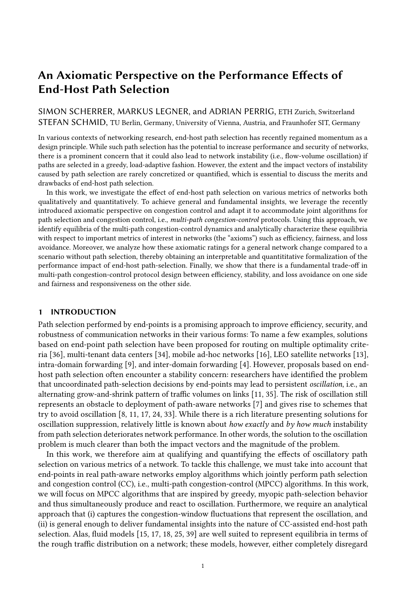3.3.2 Actual Flow Equilibrium. Intuitively, this hypothetical equilibrium given by  $f \hat{f}^{\dagger p}{}^{\circ} g_{p2\sigma p}$  is an actual equilibrium of the MPCC dynamics if the convergence is not disturbed by the capacity limit  $C \cdot P$  on any path  $\pi$ , i.e., if the trajectory functions for all ranks consistently remain below  $C \cdot P$ . We therefore require an upper bound on all trajectory functions  $f_{\pi}^{\hat{i}^p \rho^{\circ} 1} t^{\circ} g_{p2\hat{i}^p \rho^{\circ}}$ . Thanks to the structure of P-step oscillation, it holds that  $\hat{f}^{\dagger p^{\circ}}$   $\hat{i}^{\dagger p}$ ,  $\hat{f}^{\dagger p}$ ,  $\hat{g}$  2 »P 14. Therefore, in the hypothetical equilibrium,  $\hat{f}^{0}$ <sup>o</sup> represents an upper bound on the flow dynamics. We speak of flow dynamics with consistent trajectories if such an ordering not only holds on the equilibrium values  $\hat{f}^{\dagger p^{\circ}}$ , but also on the trajectory functions  $\hat{f}_\pi^{\dagger p^\circ + t^\circ}$  for all paths  $\pi$ :

DEFINITION 3. Flow dynamics  $\hat{f_{\pi}}$   $^{1}t^{\mathrm{o}}$ g $_{t=0}$  have consistent trajectories at time point  $t^{\mathrm{0}}$  if on every path  $\pi$  2  $\Pi$ , the rank-specific trajectory functions  $f^{\hat{i}^p}$   $_1^{\circ}$   $g_{p2\hat{i}^p}$  satisfy the following condition:

$$
8p \ 2 \ \nu P \quad 1\%, \ t \quad t^0. \quad \hat{f}_{\pi}^{1p^0}1t^0 \ \dot{f}_{\pi}^{1p}1^{0}1t^0 \tag{16}
$$

As trajectories are always eventually consistent, the trajectory function  $\hat{f}_{\pi}^{\text{10}^{\text{o}}}$  tor rank 0 is therefore an upper bound on all trajectory functions  $f \hat{f}^{1p^0}$   $1^0 \mathfrak{g}_{p2^p}$  and by consequence also an upper bound on the flow dynamics  $\hat{f}_{\pi} \hat{g}_{t_0}$  for any path  $\pi$ . As  $\hat{f}_{\pi}^{10^{\circ}1} t^{\circ}$  is monotonic, its function values will not exceed  $C \cdot P$  if  $\hat{f}_{\pi}^{-1} t_{\pi p}^{\circ} \circ C \cdot P$  and  $\hat{f}^{\circ} \circ C \cdot P$ . Due to the introduction of capacity limits, it is necessary to alter the definition of  $t_{\pi p}$  to be the first point in time after oscillation began (at  $t_0$ ) where rank  $\pi$ ,  $t_{\pi p}^{\circ} = p$  (as before) and additionally  $\hat{f}_{\pi}^{\dagger} t_{\pi p}^{\circ}$   $C \cdot P$ .<sup>[4](#page-9-1)</sup> Therefore, we arrive at the following insight:

Insight 3. Dynamic Lossless Flow Equilibrium. The hypothetical equilibrium (disregarding capacity limitations) from Insight [2](#page-8-3) is an actual, lossless equilibrium (taking capacity limits into account) for the flow dynamics  $\int \hat{f}_\pi^{-1} t^\circ \psi_{\pi}$  if and only if  $\hat{f}$  $C \cdot P$ , i.e., the maximum flowequilibrium level does not exceed the bottleneck capacity of any path.

#### <span id="page-9-0"></span>4 LOSSY EQUILIBRIA

In this section, we characterize *lossy* equilibria, i.e., dynamic equilibria where  $\hat{f}^{\text{10}^{\text{o}}}$   $\hat{f}$   $C \bullet P$  and the flow dynamics therefore periodically exceed bottleneck capacities.

## 4.1 Structure of Lossy Equilibria

In order to identify the typical structure of lossy equilibria, we again rely on simulations similar to Section [3.1.](#page-6-3) Based on these simulations, we can distinguish two types of lossy equilibria, illustrated in Figs. [4](#page-10-0) and [5.](#page-10-0) Note that both of these lossy-equilibrium types are characterized by flow volumes  $f_j^{\delta_1 p}$ <sup>o</sup>  $g_{p2}, p_{\parallel}$ , each carried by the path with rank p in the state that is designated as the initial state of the lossy equilibrium ( $t = 0$  in the figures) and is periodically revisited every L time steps. Moreover, the boundary points, i.e., the largest and smallest flow volume arising in a lossy equilibrium, are denoted by  $\hat{f}$  and  $\hat{f}$  respectively.

The main distinguishing property of type-1 lossy equilibria (cf. Fig. [4\)](#page-10-0) is that these lossy equilibria are consistent with P-step oscillation despite the occasional multiplicative decrease  $\beta$  on rank-0 paths. In contrast, type-2 lossy equilibria (cf. Fig. [5\)](#page-10-0) temporarily deviate from P-step oscillation whenever there is packet loss on a path. In that case, the rank-0 path with loss directly becomes the rank- $P - 1^{\circ}$  path in the subsequent time step. However, even in type-2 lossy equilibria, P-step oscillation eventually resumes, e.g., at  $t = 2$  in Fig. [5.](#page-10-0) Type-1 equilibria typically appear for a relatively high migration rate  $m$ , whereas type-2 equilibria tend to appear for lower migration rates.

<span id="page-9-1"></span><sup>&</sup>lt;sup>4</sup>We assume that such a  $t_{\pi p}$  always exists as any reasonable CC's reaction to loss reduces  $\hat{f}_{\pi}^{-1}t^{\circ}$  below C•P eventually.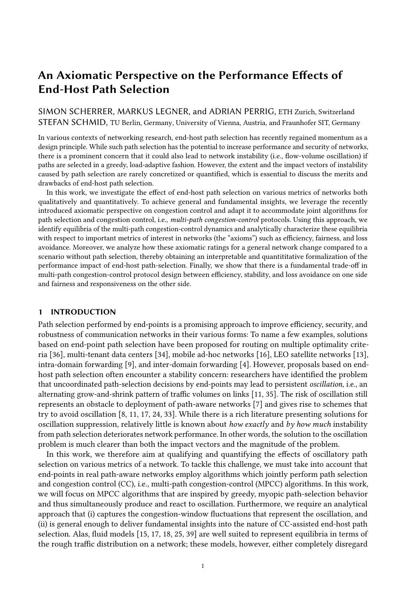<span id="page-10-0"></span>6 8 10 12 14 16 18 <sup>ˆ</sup>f $\in$ L C  $m$   $\cdot$   $\in$  $\cdot$  (1 – m)<sup>2</sup>  $\cdot$  C  $\hat{f}^{\left( \right) }$ (0)  $\hat{f}^{\left(}$ (1)  $\hat{f}^{\left(}$ (2)  $=$   $\hat{f}$  +  $\hat{f}$ ∗−

Fig. 4. Type-1 lossy equilibrium for  $P = 3$ ,  $m = 0.45$ , and  $r = 0.9$  (One period is highlighted in light-blue).

t





Fig. 5. Type-2 lossy equilibrium for  $P = 3$ ,  $m = 0.1$ , and  $r = 1$  (One period is highlighted in light-blue).

#### <span id="page-10-1"></span>4.2 Flow Equilibria

While the lossy equilibria cannot be characterized as simply as the lossless equilibria in Section [3.3,](#page-8-0) it is feasible to determine the flow-volume bounds for the presented types of lossy equilibria.

Regarding the upper bound, the central question is how high the upper boundary point  $\hat{f}$   $\cdot$  can become. Both for type-1 and type-2 lossy equilibria, we note that  $\hat{f}$  is reached after one round of  $P$ -step oscillation starting from a flow volume below the capacity limit. Hence, an upper bound on  $\hat{f}$  an be represented as follows:

<span id="page-10-2"></span>
$$
\hat{f} \qquad \hat{f}_{\pi}^{10^{\circ}1} t_{\pi 0} \qquad P^{\circ} \text{ where } \hat{f}_{\pi}^{1p^{\circ}1} t_{\pi 0}^{\circ} = C \cdot P. \tag{17}
$$

The trajectory function from Eq. [\(14\)](#page-8-4) (or from Eq. [\(15\)](#page-8-5) for  $r = 1$ ) is used to calculate the effects of one round of P-step oscillation on flow volume  $C \cdot P$ , which is the highest flow volume from which ordinary P-step oscillation can proceed. Note that this trajectory function is only usable if the agent dynamics are in equilibrium according to Section [3.2.](#page-6-2) Type-1 lossy equilibria preserve  $P$ -step oscillation and thus also the corresponding agent equilibria. For type-2 lossy equilibria, however, P-step oscillation is occasionally disturbed, which can result in agent dynamics out of equilibrium. However, multiple rounds of P-step oscillation precede the moment of reaching  $\hat{f}$  and the convergence to the agent equilibrium is exponential. Hence, we observe that the agent dynamics are close to the agent equilibrium and the trajectory function can therefore be used to obtain an approximate upper bound for type-2 lossy equilibria.

Regarding the lower bound, we now investigate how low the lower boundary point  $\hat{f}$  can become. In type-1 lossy equilibria,  $\hat{f}$  is reached after P 1 time steps with agent outflow on an overloaded rank-0 path. Combined with the multiplicative decrease  $\beta$  in the first of these  $P$  1 time steps, we can thus formulate a lower bound on  $\hat{f}$  for type-1 lossy equilibria:

$$
\hat{f} \qquad \qquad \hat{f} \qquad \qquad 1 \qquad m^{\circ P} \qquad C_{\pi} \qquad \qquad (18)
$$

given a rank-0 path that is only infinitesimally overloaded and  $\alpha^{\dagger} \tau^{\circ}$  *i* 0,  $8\tau$  2 N<sub>*i*0</sub>. For type-2 lossy equilibria, this lower bound is too pessimistic, as the combination of multiplicative decrease and agent out-migration directly transforms the overloaded rank-0 path into the least utilized path and there are no further consecutive time steps with agent out-migration on this path. Hence,  $\beta$ <sup>1</sup>1  $m^{\circ}$   $C_{\pi}$  suffices as a lower bound for type-2 lossy equilibria. For a validation of these lower bounds by simulations, consult Fig. [14](#page-26-0) in Appendix [D.](#page-26-1)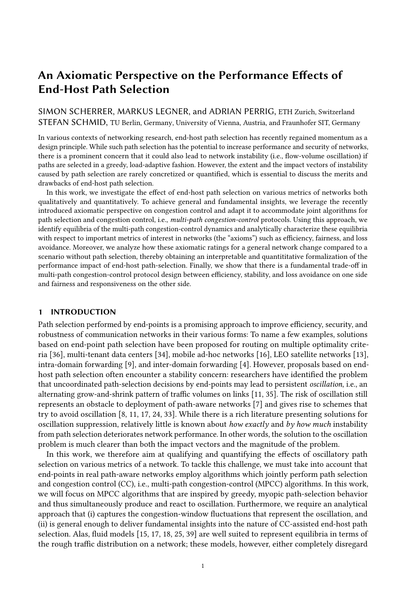## <span id="page-11-0"></span>5 AXIOMS

In this section, we use an axiomatic approach inspired by Zarchy et al. [\[41\]](#page-21-6) to derive insights regarding the effects of oscillatory path selection. We adapt a number of their axioms, which were formulated for a single-path context, to a multi-path context in Section [5.1.](#page-11-1) In Section [5.2,](#page-12-0) we evaluate the equilibria from Sections [3](#page-6-0) and [4](#page-9-0) with respect to these axioms.

## <span id="page-11-1"></span>5.1 List of Axioms

In our axiomatic approach to multi-path congestion control, axioms correspond to desirable properties that MPCC protocols should possess. However, as these properties refer to general and vague concepts (e.g., efficiency or fairness), the conditions for possessing these properties are usually not well-defined. Therefore, the axioms here are formalized as metrics for rating an MPCC protocol with respect to a certain property, instead of binary indicators of whether the protocol possesses the given property. Concretely, we consider the following axioms in this work:

Axiom 1. E ciency. An MPCC protocol is  $\epsilon$ -e cient if under universal adoption of this protocol, the bottleneck utilization of every path  $\pi$  with capacity  $C \cdot P$  is never lower than a share  $\epsilon$  after some time t $^0$ :

<span id="page-11-4"></span>
$$
\Theta t^0. \quad 8t \quad t^0, \ \pi \ 2 \ \Pi. \quad \frac{P \ \hat{f}_{\pi} \,^1 t^0}{C} \quad \epsilon \tag{19}
$$

Larger values of  $\epsilon$  are better, and we consider an  $\epsilon$ -efficient protocol optimal if  $\epsilon$   $\sim$   $\epsilon$   $\epsilon$   $\sim$   $\epsilon$ , where s is the buffer size.<sup>[5](#page-11-2)</sup>

Axiom 2. Loss avoidance. An MPCC protocol is  $\lambda$ -loss-avoiding if under universal adoption, the loss rate on any path  $\pi$  with capacity C•P never exceeds  $\lambda$  after some time  $t^0$ :

<span id="page-11-5"></span>
$$
9t^0
$$
. 8t *j*  $t^0$ ,  $\pi$  2\Pi.  $\frac{\hat{f}_{\pi}^{-1}t^0}{C \cdot P}$  1  $\lambda$  (20)

Thus, smaller values of  $\lambda$  are better, and a 0-loss-avoiding protocol is optimal.

Axiom 3. Convergence. An MPCC protocol is  $y$ -convergent if under universal adoption, the flow volume  $\hat{f}_{\pi}$ <sup>1</sup> t<sup>o</sup> on every path  $\pi$  lies consistently within a range  $\gamma$   $\hat{f}_{\pi}$ ,  $\hat{f}_{\pi}$ <sup>\*</sup> below a path-specific maximum level  $\hat{f}_{\vec{x}}$  after some time  $t^0$ .

<span id="page-11-6"></span>
$$
9t^0 \, j \, 0, \, f_{\pi}^*.\, 8t \, j \, t^0, \, \pi \, 2 \, \Pi. \, \gamma \, \hat{f}_{\pi}^* \, \hat{f}_{\pi}^{-1}t^0 \, \hat{f}_{\pi}^* \tag{21}
$$

Thus, larger values of  $\gamma$  are better, and a 1-convergent protocol is optimal.

Axiom 4. Fairness. An MPCC protocol is  $\eta$ -fair if under universal adoption, the variance of congestion-window sizes of all agents  $i$  2 A in the network never exceeds  $\eta$  after some time  $t^{0.6}$  $t^{0.6}$  $t^{0.6}$ 

<span id="page-11-7"></span>
$$
9t^0
$$
 j 0. 8t j t<sup>0</sup>. Var cwnd<sub>i</sub><sup>1</sup>t<sup>0</sup>  $\eta$  (22)

Thus, smaller values of  $\eta$  are better, and a 0-fair protocol is optimal.

For any axiom metric  $\mu$ , we write  $\mu$ <sup>1</sup>MPCC<sup>o</sup> for the most desirable value of metric  $\mu$  that the protocol MPCC can be rated with.

<span id="page-11-2"></span><sup>&</sup>lt;sup>5</sup>In terms of latency, <sup>1</sup>C s<sup>o</sup>  $\cdot$ C, i.e., empty buffers, would even be preferable to higher values of  $\epsilon$ . This latency effect could be captured by an additional axiom, which we do not introduce in this work.

<span id="page-11-3"></span><sup>6</sup>Zarchy et al. [\[41\]](#page-21-6) formalize fairness with the ratio of the smallest to the largest congestion-window size in the steady state. Given path selection, this ratio is always potentially 0, e.g., if an agent migrates in every time step.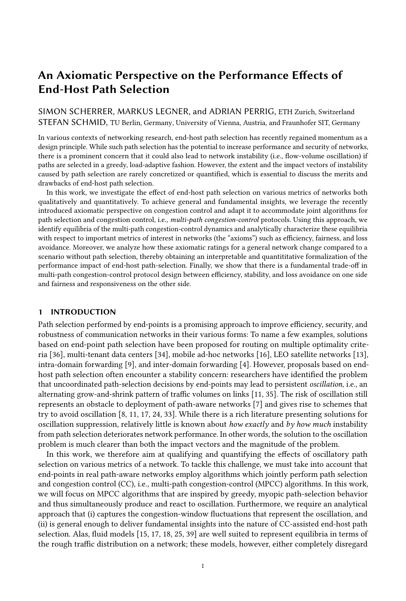#### <span id="page-12-0"></span>5.2 Axiomatic Characterization of Equilibria

The axioms in Section [5.1](#page-11-1) refer to characteristics which are eventually attained and then persistently preserved by the flow dynamics. Hence, a natural way to axiomatically rate an MPCC protocol is to evaluate the equilibria (i.e., stable states) of this protocol (cf. Sections [3](#page-6-0) and [4\)](#page-9-0).

Efficiency (Axiom [1\)](#page-11-4). We distinguish lossless and lossy flow equilibria. If there is a lossless equilibrium ( $\hat{f}$  $(C \cdot P)$ , the minimal flow volume ever carried by any path  $\pi$  is the equilibrium value for rank P 1, i.e.,  $\hat{f}^{1p-1°}$ . The network-wide efficiency level is therefore  $\epsilon = P \int \hat{f}^{1p-1°} \cdot C$ . In contrast, for lossy equilibria, the efficiency level is the lower bound on the lower boundary  $\hat{f}$  according to Section [4.2.](#page-10-1) Depending on the lossy-equilibrium type, this lower bound is given by  $\beta$  <sup>1</sup>1  $m^{o}$ <sup>P</sup> <sup>1</sup> or  $\beta$  <sup>1</sup>1  $m^o$ , respectively. Since the lower bound is never higher for type 1 than for type 2, we consider  $\beta$ <sup>1</sup> <sup>1</sup>  $m^{\circ P}$ <sup>1</sup> to be the minimum flow volume for lossy equilibria. While this lower bound is too pessimistic for lossy equilibria of type 2, these type-2 lossy equilibria mostly appear for low values of  $m$ , where the difference between the two bounds is small.

<span id="page-12-2"></span>
$$
\epsilon \; MPC^{1}\alpha, \beta, m, r^{\circ} \qquad \begin{array}{ccc}\n P & \hat{f}^{1P} & 1^{\circ} \cdot C & \text{if } \hat{f}^{10^{\circ}} & C \cdot P \\
 P & \hat{f}^{1P} & 1^{\circ} \cdot C & \text{if } \hat{f}^{10^{\circ}} & C \cdot P \\
 \beta & \frac{1}{1} & m^{\circ P} & 1 & \text{otherwise}\n \end{array} \tag{23}
$$

Loss avoidance (Axiom [2\)](#page-11-5). If all paths are in lossless equilibrium ( $\hat{f}$  $C \cdot P$ , it is clear that the maximum loss rate in the whole network is 0. If the network is in lossy equilibrium, the maximum loss rate is determined by the upper boundary point  $\hat{f}$  · (cf. Section [4.2\)](#page-10-1). As shown in Eq. [\(17\)](#page-10-2), this boundary point is maximal at  $\hat{f}_\pi^{10^\circ}$   $t_{\pi0}$ ,  $P^\circ$ , where  $\hat{f}_\pi^{10^\circ}$  is the rank-0 trajectory function for an arbitrary path  $\pi$  and is anchored at  $\hat{f}_{\pi}^{10^0}$   $\hat{t}_{\pi0}^{10^0}$  = C•P. For  $r < 1$  and  $r = 1$ , this trajectory function is given by Eq. [\(14\)](#page-8-4) and Eq. [\(15\)](#page-8-5), respectively. In summary, the maximum loss rate is

$$
\lambda \; M P C C^1 \alpha, \beta, m, r^{\circ}
$$
\n
$$
\sum_{i=1}^{4} q^{1} m, r, P^{\circ} \quad 1 \quad m^{\circ P} \quad 1 \quad 1
$$
\n
$$
\sum_{i=1}^{4} q^{1} m, r, P^{\circ} \quad 1 \quad m^{\circ P} \quad 1 \quad m^{\circ P} \quad 1 \quad 1
$$
\n
$$
\sum_{i=1}^{4} q^{1} m, r, P^{\circ} \quad P \quad P \quad 2 \quad \hat{\alpha}^{1} P \quad 1^{\circ} \quad \hat{\alpha}^{1} P \quad 1^{\circ} \quad \hat{\alpha}^{1} P \quad 1^{\circ} \cdot 1 C \cdot P^{\circ} \quad \wedge \quad r < 1
$$
\n
$$
\sum_{i=1}^{4} q^{1} m, r, P^{\circ} \quad P \quad P \quad 2 \quad \hat{\alpha}^{1} P \quad 1^{\circ} \quad \hat{\alpha}^{1} P \quad 1^{\circ} \quad 1^{\circ} \cdot 1 C \cdot P^{\circ} \quad \wedge \quad r < 1 \tag{24}
$$

where we use the abbreviation  $q^1m, r, P^0 := {}^{1}1$ ,  $m \ r \ z^1m, P^{00}$ .

Convergence (Axiom [3\)](#page-11-6). If the network is in a lossless equilibrium  $(\hat{f}^{\dagger 0^{\circ}} \quad C \cdot P)$ , the convergence behavior of the flow dynamics can be derived from the boundaries  $\hat{f}^{10^{\circ}}$  and  $\hat{f}^{10^{-1^{\circ}}}$  of the hypothetical flow equilibrium. Given a lossy equilibrium, we can build on the range between the upper boundary point  $\hat{f}$  and the lower boundary point  $\hat{f}$ , for which we have derived an upper and a lower bound, respectively. From these ranges, the derivation of the convergence indicator  $\gamma$  and the maximum level  $\hat{f}_{{\vec{x}}}$  is straightforward:

$$
\gamma \, \text{MPCC}^1\alpha, \beta, m, r^{\circ} \qquad \begin{cases} \n\hat{f}^{1P} \, \mathbf{1}^{\circ} \cdot \hat{f}^{10^{\circ}} \\
\hat{f}^{1P} \, \mathbf{1}^{\circ} \cdot \hat{f}^{10^{\circ}} \\
\beta \, \mathbf{1} \, 1 \, m^{\circ P} \, \mathbf{1} \cdot \lambda^1 \text{MPCC}^1\alpha, \beta, m, r^{\circ \circ} \, \square \, 1 \qquad \text{otherwise}\n\end{cases} \qquad (25)
$$

<span id="page-12-1"></span>To be precise, the asymptotic convergence to  $\hat{f}^{1P-1}$ <sup>°</sup> permits that  $\hat{f}_{\pi}^{-1}t^{\circ}$  for rank  $\pi$ ,  $t^{\circ} = P-1$  is consistently below  $\hat{f}^{1P-1}$ <sup>°</sup>. However, since this shortfall is infinitesimal and flow volumes converge exponentially to their equilibrium value, we treat the equilibrium as completely reached instead of only asymptotically approached.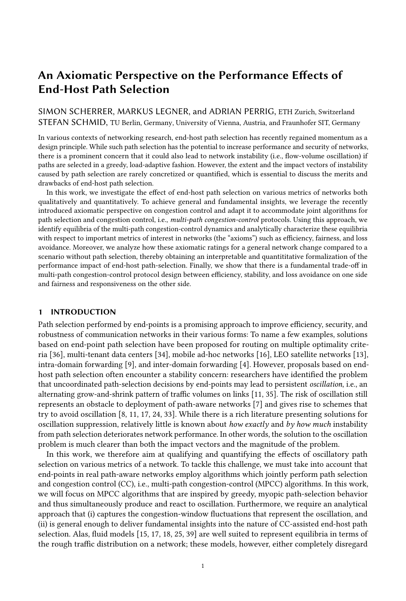<span id="page-13-1"></span>

 $\tau_i^{-1}t$ ,  $1^{\circ} = \tau_i^{-1}t^{\circ}$  1  $cwnd_i^1t \quad 1^{\circ} = cwnd_i^1t^{\circ} \quad \alpha^1\tau_i^1t^{\circ \alpha}$ Increase  $\tau_i^1 t$ ,  $1^\circ = 0$  $cwnd_i^1t$ ,  $1^{\circ} = r \quad cwnd_i^1t^{\circ}$ Migrate  $\tau_i^{-1}t$ ,  $1^\circ = 0$  $cwnd_i^1t$ ,  $1^\circ = \beta$   $cwnd_i^1t^\circ$ Decrease  $\overline{p_{\ell}}$   $\overline{m}$   $\vert p_{I} \vert$   $\overline{m}$  $p_\ell$   $\overline{m}$  $D_{I}$ m  $p_{I}$ !

Fig. 6. Computation of variance in congestionwindow size according to the lossless Markov process in Eq. [\(27\)](#page-13-0).

Fig. 7. Markov process for congestion-window size given lossy equilibria (Notation:  $\overline{p} = 1$   $p$ ). Moreover,  $p_{I}$ !  $I = \text{if } \tau_i^1 t^0 \text{ mod } P < 1P$ 1<sup>o</sup> then  $\overline{p_{\ell}}$   $\overline{m}$  else  $\overline{p_{\ell}}$ ,  $p_{I}$   $_M =$  if  $\tau_i^1 t^0$  mod  $P < 1$ <sup>o</sup> then *m* else 0 and  $p_{I}$ !  $D =$  if  $\tau_i$ <sup>1</sup> t<sup>o</sup> mod  $P <$  <sup>1</sup> $P$  1<sup>o</sup> then  $p_{\ell}$   $\overline{m}$  else  $p_{\ell}$ .

Fairness (Axiom [4\)](#page-11-7). We consider the variance of congestion-window sizes in the equilibrium as a metric for the fairness of an MPCC algorithm:

Var 
$$
cwnd_i^1 t^0 = \underset{i2A}{E} cwnd_i^1 t^{02} \underset{i2A}{E} cwnd_i^1 t^{02}
$$
 (26)

As the congestion-window evolution of a single agent is a probabilistic process where any state transition only depends on the current state, we approximate  $\omega m d_i^{\dagger} l^{\circ}$  for the case of lossless equilibria by means of the following Markov process with two state variables:

<span id="page-13-0"></span>
$$
\begin{array}{ll}\n\text{if } \tau_i^1 t^0 < P \quad 1: \quad \tau_i^1 t \text{ s } 1^0, \text{ cwnd}_i^1 t \text{ s } 1^0 = \begin{cases}\n & \text{ cwnd}_i^1 t^0 \\
 & \tau_i^1 t^0 \text{ s } 1, \text{ cwnd}_i^1 t^0 \text{ s } \alpha^1 \tau_i^1 t^{00} \text{ prob. } 1 \text{ m }\end{cases}\n\end{array}
$$
\nelse:

\n
$$
\tau_i^1 t \text{ s } 1^0, \text{ cwnd}_i^1 t \text{ s } 1^0 = \tau_i^1 t^0 \text{ s } 1, \text{ cwnd}_i^1 t^0 \text{ s } \alpha^1 \tau_i^1 t^{00}
$$
\nprob. 1 m (27)

where the initial state is given by  $\tau_i{}^10^\circ = \text{cwnd}_i{}^10^\circ = 0$ .

Computationally tractable computation of the congestion-window size variance can be done by averaging many simulation samples of the Markov process from Eq. [\(27\)](#page-13-0), which has only linear complexity in  $t$  and yields the expectation of the congestion-window size by the central limit theorem. Fig. [6](#page-13-1) illustrates that the variance of  $cwnd_i^{\dagger}t^{\circ}$  has a limit for  $t \perp 1$ .

Regarding lossy equilibria, the Markov process from Eq. [\(27\)](#page-13-0) must be adapted as shown in Fig. [7.](#page-13-1) In particular, we assume that every path encounters loss with probability  $p_{\ell}$  in any time step, except if the path has experienced loss in the previous time step (as there are no consecutive loss events on the same path in the lossy equilibria in Section [4\)](#page-9-0). If the agent is using a lossy path, but does not leave the path, the congestion-window size is multiplicatively decreased as shown in transition Decrease in Fig. [7.](#page-13-1) Like for lossless equilibria, a simulation-based approach enables to efficiently compute the variance in congestion-window size (cf. Fig. [15](#page-26-0) in the appendix). This figure suggests that the variance limit for lossy equilibria is decreasing in loss probability  $p_\ell$ . Moreover, since the lossy Markov process in Fig. [7](#page-13-1) is equivalent to the lossless Markov process in Eq. [\(27\)](#page-13-0) for  $p_\ell = 0$ , the variance of the lossless Markov process represents an upper bound on the variance of the lossy Markov process. Therefore, we henceforth exclusively rely on the lossless Markov process.

 $\overline{m}$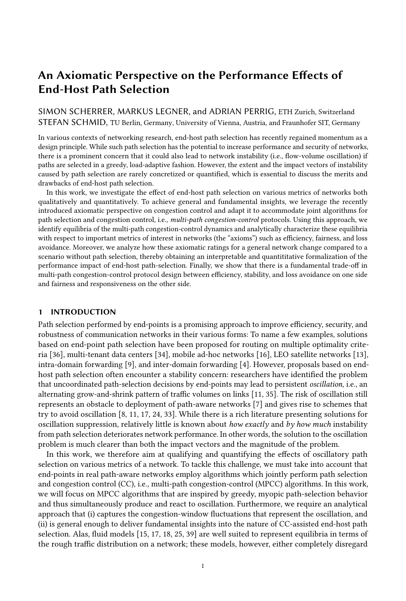## <span id="page-14-0"></span>6 AXIOM-BASED INSIGHTS

In this section, we derive fundamental insights into the nature of end-host path selection on the basis of the axioms presented in the previous section. First, we investigate in Section [6.1](#page-14-1) how the performance characteristics of a network change if end-host path selection is introduced. Second, we show in Section [6.2](#page-18-0) that there are fundamental trade-offs when applying end-host path selection.

## <span id="page-14-1"></span>6.1 Performance Effects of Introducing End-Host Path Selection

6.1.1 Evaluation Method. In order to analyze how end-host path selection affects the performance characteristics of a network, we use a comparative approach: First, we characterize the performance of a network without end-host path selection based on the axioms from Section [5.1](#page-11-1) (henceforth: Scenario (I)). Afterwards, we compare the axiomatic ratings of the network without path selection to the axiomatic characterization of the MPCC equilibria (cf. Section [5.2\)](#page-12-0) that arise in the same network given end-host path selection (henceforth: Scenario (II)).

We base the comparison on a network with  $N$  agents and a total bottleneck capacity  $C$  distributed over P paths with equal bottleneck capacity  $C \cdot P$ . All agents adopt the same CC protocol  $CC_i^1 \alpha$ ,  $\beta^{\circ}$ (cf. Eq. [\(3\)](#page-5-2)) in Scenario (I), whereas they employ a multi-path version  $MPCC_i^{\dagger} \alpha$ ,  $\beta$ ,  $m$ ,  $r^{\circ}$  of this CC protocol in Scenario (II). Moreover, while the agent distribution on paths is dynamically determined in Scenario (II), the agent distribution in Scenario (I) is static: To identify the worst-case effects of end-host path selection, let this static agent distribution be optimal, i.e.,  $a_{\pi} = N \cdot P$ .

In the following, we rate the CC protocol  $CC_i^i \alpha, \beta^o$  for Scenario (I) with respect to the axioms and perform a comparison with Scenario (II). Moreover, we both quantify and interpret the changes in the axiom metrics that are due to the introduction of end-host path selection. These changes are also visualized in Figs. [8](#page-15-0) and [9:](#page-17-0) For any  $m$  and every equilibrium class (lossless or lossy), the possible range of the metric change is shown for two different additive-increase functions and an example network. We distinguish a constant additive-increase function  $\alpha_1^1 \tau^\circ = 1$  and an additive-increase function  $\alpha_S$  in the style of TCP Slow Start:  $\alpha_S^{\dagger} \tau^{\circ} = 2^{\tau}$  if  $\tau$   $\gamma$  5 and  $\alpha_S^{\dagger} \tau^{\circ} = 1$  otherwise. The range associated with each value of m is  $\min_{r \geq R^1 m^{\circ}} \Delta^1 m, r^{\circ}$ ,  $\max_{r \geq R^1 m^{\circ}} \Delta^1 m, r^{\circ}$ , where  $\Delta$  is the difference metric as a function of m and r and  $R^1m^{\circ}$  contains all values of r that produce a valid equilibrium of the given class (lossless or lossy) in the example network given  $m$ .

6.1.2 Efficiency (Axiom [1\)](#page-11-4). Given that the employed protocol  $CC_i^{\dagger} \alpha$ ,  $\beta^{\circ}$  eventually exhausts the capacity of any path, the efficiency level is given by the lowest possible flow volume that results from loss. This lower bound is determined by the multiplicative decrease  $\beta$  applied to a flow volume that is infinitesimally above the capacity limit:

$$
8\pi \ 2 \ \Pi. \ \epsilon \ CC_i{}^1 \alpha, \beta^{\circ} = \frac{\beta \ C \cdot P}{C \cdot P} = \beta \tag{28}
$$

We now compare this efficiency level to the MPCC efficiency levels from Eq. [\(23\)](#page-12-2) and analyze the efficiency change  $\Delta \epsilon = \epsilon M P C C^1 \alpha, \beta, m, r^{\circ} \in CC^1 \alpha, \beta^{\circ}$  that is due to the introduction of end-host path selection. For a visualization of this efficiency change, consider Fig. [8a.](#page-15-0)

If the efficiency level of the MPCC dynamics is determined by a lossless equilibrium, then  $\Delta \epsilon$ is given by  $P \hat{f}^{1p-1} \cdot C \beta$ . As  $\hat{f}^{1p-1}$  is a decreasing function of the migration rate m and an increasing function of the reset softness  $r$ , end-host path selection is more likely to negatively affect  $\epsilon$  for high migration rates and hard resets on path switch:

INSIGHT 4.  $E$  ciency  $E$  ects of Path Migration and Resets in Lossless Equilibria. The more likely agents are to migrate away from a path at any single point in time, the further the bottleneck-link utilization can drop, and if agents start out with a small congestion window every time they switch to a new path, utilization (and therefore efficiency) are relatively low.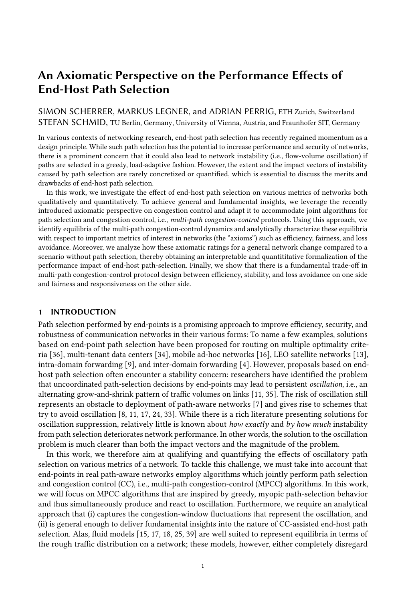<span id="page-15-0"></span>

Fig. 8. Effects of end-host path selection for an example network with  $P = 3$ ,  $\beta = 0.7$ ,  $N = 1000$ , and  $C \cdot P = 12000.$ 

Nonetheless, it is possible that the introduction of end-host path selection leads to a higher level of efficiency. The computations for the example network, visualized in Fig. [8a,](#page-15-0) show that for low values of  $m$  and high values of  $r$ , introducing end-host path selection can increase efficiency.

In contrast, if the MPCC efficiency level is determined by a lossy equilibrium, then  $\Delta \epsilon$  is given by  $\beta$ <sup>1</sup>1  $m^{\circ P}$ <sup>1</sup>  $\beta$ , which is bound to be negative. This fact allows the interpretation that end-host path selection strictly lowers the efficiency in case of loss, as emigration from a path reinforces the utilization plunge created by the CC loss reaction, i.e., the multiplicative decrease  $\beta$ . As Fig. [8a](#page-15-0) shows, such less efficient lossy equilibria are bound to exist for low values of  $m$ , for which there is no value of  $r$  such that a a lossless equilibrium can arise. This insight points to a subtle relationship between migration rates and efficiency:

<span id="page-15-1"></span>INSIGHT 5. Ine cient Equilibria due to Low Migration. While lowering the migration rate can increase the efficiency of end-host path selection, very low migration rates necessarily lead to inefficient (lossy) equilibria, which make end-host path selection detrimental to efficiency compared to a scenario without path selection.

6.1.3 Loss avoidance (Axiom [2\)](#page-11-5). In Scenario I, the worst-case loss rate occurs if flow  $f_{\pi}$  on path  $\pi$ is exactly at the capacity limit  $C_{\pi}$ , and there is an additional increase by all agents on the path:

$$
8\pi \ 2 \ \Pi. \ \lambda \ CC_i{}^{1} \alpha, \beta^{\circ} = \frac{\alpha^{\max} \ a_{\pi}}{C_{\pi}} = \frac{\alpha^{\max} \ N}{C}, \tag{29}
$$

where  $\alpha^{\text{max}} = \max_{\tau \geq N_0} \alpha^{\tau} \tau^{\circ}$  to represent the maximum possible loss.

In case of lossless equilibria of the MPCC dynamics, it is clear that  $\Delta\lambda$  (defined analogously to  $\Delta\epsilon$ ) is negative, i.e., the loss rate can be reduced (to 0). This improvement in  $\Delta\lambda$  is shown in Fig. [8b](#page-15-0) for all values of  *for which there is a value of*  $*r*$  *such that a lossless equilibrium arises.* 

If a lossy equilibrium is present, the effects of end-host path selection are more ambivalent. In that case, the maximum loss rate in the path-aware network is proportional to  $\hat{f}^{0}$ : the larger the hypothetical limit value  $\hat{f}^{10^{\circ}}$  of the trajectory function, the stronger the increase of the trajectory function at level  $C_{\pi}$  and thus the higher the loss rate. As  $\hat{f}^{10^{\circ}}$  is proportional to r and effectively infinite for  $r = 1$ , the highest loss rate for every value of m is achieved for  $r = 1$ , which yields the following intuitive insight:

INSIGHT 6. LOSS  $E$  ects of So Resets. If agents only perform soft resets of the congestion-window size when switching paths, this can result in high loss on the newly selected patt.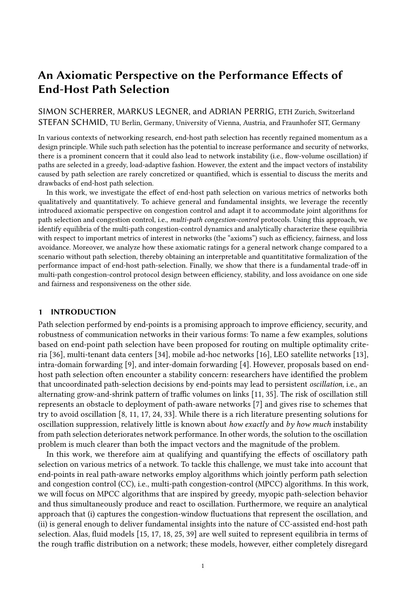In contrast, if m and r are such that the equilibrium is only marginally lossy, i.e.,  $\hat{f}^{10^{\circ}}$  is only infinitesimally larger than  $C_{\pi}$ , then the maximum loss rate in a lossy equilibrium is arbitrarily close to 0 (similar to a lossless equilibrium). However, a value of  $r$  that achieves  $\hat{f}$  $C_{\pi}$  may not exist given a (low) value of  $m$ , in which case the reduction of the loss rate to 0 is not possible. Therefore, we arrive at a counter-intuitive insight that mirrors Insight [5:](#page-15-1)

INSIGHT 7. LOSS  $E$  ects of Low Migration. Loss is not minimized by minimizing the migration rate m, as low migration rates may prohibit the emergence of completely lossless equilibria.

Furthermore, Fig. [8b](#page-15-0) allows another non-obvious insight:

<span id="page-16-0"></span>INSIGHT 8. LOSS E ects of Path Selection with Variable Additive-Increase Functions. The benefits of end-host path selection in terms of loss are particularly large if additive-increase functions with high inherent variability (such as  $\alpha_S$  in Fig. [8\)](#page-15-0) are used by the agents.

In that case, end-host path selection may reduce loss because it leads to de-synchronization of the continuity time  $\tau$  between agents: If all agents tend to have the same continuity time  $\tau$ , there is a chance that many agents have continuity time  $\tau_{\text{max}}$  with  $\alpha^1 \tau_{\text{max}}^{\circ} = \alpha^{\text{max}}$  at the same time, resulting in high loss. In contrast, agent migration due to path selection causes more heterogeneity in  $\tau$  and therefore leads to an averaging of  $\alpha^1 \tau^0$ , which reduces the aggregate additive increase and therefore the maximum possible loss. While this observation may first seem like an unfair comparison of a maximum to an average, the averaging of additive increases is exactly the fundamental feature of path selection that reduces the possible maximum of aggregate additive increase compared to a scenario without path selection.

6.1.4 Convergence (Axiom [3\)](#page-11-6). The convergence level  $\gamma$  is determined by the minimum and the maximum possible flow volume, as derived above:

$$
\gamma \ CC_i{}^{1} \alpha, \beta^{\circ} = \frac{\beta \ C}{C \ {}_{\circ} \ \alpha^{\max} \ N} \tag{30}
$$

In the case of lossless equilibria, end-host path selection can increase stability if

$$
\frac{\hat{f}^{^{1}P^{1^{\circ}}}}{\hat{f}^{^{1}0^{\circ}}} = \frac{\prod_{p=0}^{P} \hat{\alpha}^{^{1}p^{\circ}}}{1 \cdot m \cdot r \cdot z^{1}m P^{\circ}} \prod_{p=0}^{P} \frac{1}{\hat{\alpha}^{1}p^{\circ}} \frac{1}{\hat{\alpha}^{1}p^{\circ}} \frac{1}{\hat{\alpha}^{1}p \cdot 1^{\circ}} \cdot j \cdot \gamma \cdot CC_{i}^{1}\alpha, \beta^{\circ} , \qquad (31)
$$

which is unsurprisingly true for a low migration rate  $m$  and hard resets  $r = 0$ . However, analogously to efficiency and loss, convergence surprisingly suffers from very low migration rates  $m$ , as this causes lossy equilibria, which are inferior to lossless equilibria in terms of convergence (cf. Fig. [9a\)](#page-17-0).

The convergence in these lossy equilibria benefits from low migration rates and hard resets, without the exception for very low migration rates that exists for lossless equilibria. While such lossy equilibria might be inferior to lossless equilibria in terms of convergence, lossy equilibria of end-host path selection might still be preferable to no end-host path selection at all, as Fig. [9a](#page-17-0) suggests for the lossy equilibria for  $\alpha_{\rm S}$ . Similar to Insight [8,](#page-16-0) the reason for this improvement is the de-synchronization of the continuity time brought about by agent migration, which reduces the variance of the aggregate additive increase and thus the flow-volume fluctuations. Contrary to the widespread belief that end-host path selection necessarily hurts stability (in the sense of the convergence axiom), our analysis thus shows that network stability can in fact benefit from end-host path selection.

6.1.5 Fairness (Axiom [4\)](#page-11-7). Given simultaneous sending start and no path selection, perfect synchronization implies that all agents always have exactly the same congestion-window size, i.e.,  $\eta = 0$ . Moreover, Zarchy et al. show that even if some agents start sending after others, CC protocols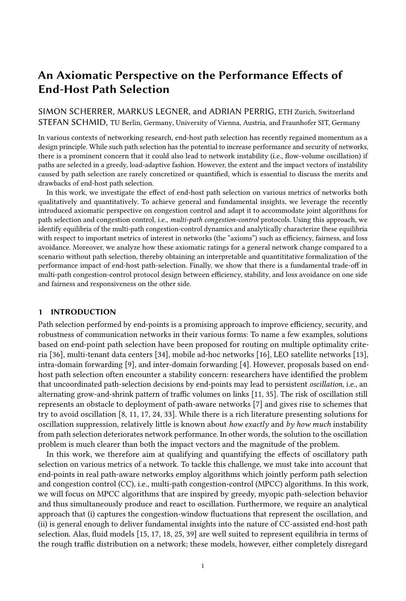<span id="page-17-0"></span>

Fig. 9. Illustration of effects of end-host path selection on the basis of the same example network as in Fig. [8.](#page-15-0)

generally tend to come close to perfect fairness [\[41\]](#page-21-6). To find the worst-case effects of end-host path selection, we thus assume perfect fairness in the scenario without path selection:

$$
\eta \ CC_i{}^1 \alpha, \beta^0 = 0 \tag{32}
$$

Hence, the fairness change  $\Delta \eta$  due to end-host path selection is equal to the fairness level  $\eta$  of the MPCC dynamics, which has been computed as a function of the migration rate  $m$  in Fig. [9b](#page-17-0) for two different additive-increase functions. In Fig. [9b,](#page-17-0) the lowest values for  $\eta$ , i.e., the highest fairness, is achieved for very high migration rates  $m<sub>1</sub>$ , which leads to the following insight:

INSIGHT 9. Fairness  $E$  ects of Path Migration. In a system with end-host path-selection, a very high migration rate m leads to optimal fairness.

This phenomenon can be intuitively explained as follows: If the migration rate is high, any agent is likely to reset its congestion-window size in any time step, which results in a compact distribution of the congestion-window size. Under a low migration rate, some agents may reach a high congestion-window size due to uninterrupted growth, while a few agents per time step perform a reset, which leads to a high variance of the congestion-window size distribution.

The effects of the reset softness  $r$  on  $\eta$  are more nuanced. As Fig. [9b](#page-17-0) shows, the fairness metric  $\eta$ is generally higher for lossy equilibria, which appear for high reset softness, than for lossless equilibria, i.e., lossless equilibria are fairer. However, as mentioned in Section [5.2,](#page-12-0) the fairness metric for lossy equilibria is computed for infinitesimal loss probability  $p_\ell$ ; for any higher  $p_\ell$ ,  $\eta$  is lower, which complicates a comparison to lossless equilibria. Also, for a low migration rate  $m$ , lossy equilibria with a high reset softness are associated with lower  $\eta$  than lossless equilibria. The reason behind this phenomenon is that soft resets reduce the difference in congestion-window size between the agents that have not migrated in a long time (and therefore have a large congestion-window) and the agents that have just recently migrated and reset their congestion-window size.

Finally, while end-host path selection seems to reduce fairness as captured by  $\eta$ , we note that  $\eta$ only represents the fairness at any single point in time. However, under low migration rates, there may still be very high inter-temporal fairness. If the migration probability is low, any agent has a high probability to uninterruptedly grow its congestion window for a long time. If the congestionwindow sizes of any agent were averaged over a certain time span, the distribution of such average congestion-window sizes would have low variance. We leave this more complex fairness analysis as an interesting task for future work.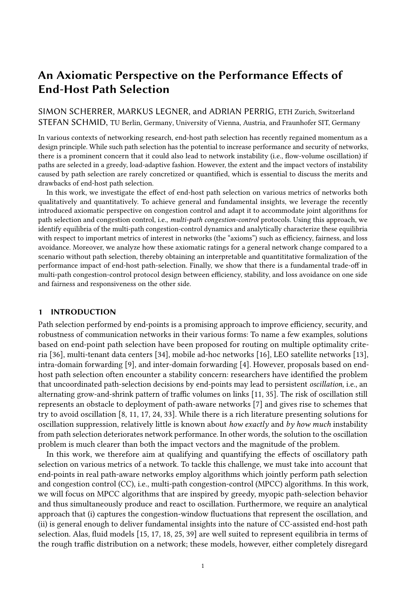#### <span id="page-18-0"></span>6.2 Fundamental Trade-Offs

In Sections [5.2](#page-12-0) and [6.1,](#page-14-1) the dependency of the MPCC dynamics on the migration rate (or responsiveness)  $m$  and the reset softness  $r$  has been qualified and quantified. These characterizations allow to observe the following trade-off in the design of systems with end-host path selection:

<span id="page-18-1"></span>INSIGHT 10. Trade-O Regarding Migration Rate. Efficiency  $\epsilon$  and convergence  $\gamma$  are more favorable under low migration rates, whereas fairness n and responsiveness m are more favorable under high migration rates, implying a fundamental trade-off between these axioms.

However, we note that this trade-off is only valid within equilibrium classes, e.g., for comparing lossless equilibria among each other, but not *across* equilibrium classes: Lowering the migration rate below a certain (low) level restricts the set of possible equilibria to lossy equilibria, which are worse in terms of efficiency and convergence than lossless equilibria (cf. Insight [5\)](#page-15-1).

Regarding loss avoidance, the effect of migration rates depends on the remaining network parameters. If resets are hard  $(r \t 0)$ , higher migration rates are associated with lower loss rate (as higher migration rates make lossless equilibria more likely, which are optimal in terms of loss). In contrast, if resets are soft  $(r \t 1)$ , lossless equilibria are impossible and the effects of the migration rate on the loss rate are unclear in general, because the migration rate non-monotonically affects the aggregate additive increase (cf. the curve for maximal  $\Delta\lambda$  given  $\alpha_S$  and lossy equilibria in Fig. [8b\)](#page-15-0). However, this unpredictable effect vanishes for constant additive-increase functions (such as  $\alpha_1$ from Section [6.1\)](#page-14-1). For constant-increase functions, a higher migration rate leads to a higher loss rate given soft resets. This finding underlines the relevance of congestion-window adaptation on path switch: Depending on the reset softness, higher migration rates may increase or reduce loss.

Despite this subtle relationship of migration rates and the axiomatic metrics, we can identify parameters  $m$  and  $r$  that are optimal with respect to all the metrics efficiency, loss, and convergence simultaneously. These parameters are given by the lowest  $m$  such that a lossless equilibrium is still possible given a complete reset  $r = 0$ . These parameters yield a lossless equilibrium with high efficiency and convergence (cf. Insight [10\)](#page-18-1).

Insight 11. No Trade-O between E ciency, Loss Avoidance and Convergence. Since there exist protocol parameters that are optimal with respect to efficiency, loss avoidance, and convergence simultaneously, there exists no fundamental trade-off between these metrics.

Unfortunately, determining these optimal parameters requires knowledge about specific and variable properties of the target network, i.e., the number of agents  $|A|$  and the path-bottleneck capacities  $C_{\pi}$  in the network, making it unattainable in most practical settings.

Finally, when determining the reset softness  $r$ , a further trade-off arises:

INSIGHT 12. Trade-O Regarding Reset So ness. There is a fundamental trade-off between convergence  $\gamma$  and loss  $\lambda$ , both of which are more favorable under low reset softness (hard resets), and efficiency  $\epsilon$ , which is more favorable under high reset softness (soft resets).

## 7 RELATED WORK

Traditionally, the effects of end-host path selection have been theoretically studied in the literature on selfish routing. In this line of research, the classic Wardrop model [\[39\]](#page-21-4) is used to characterize stable traffic distributions (equilibria) that result from uncoordinated path selection by self-interested agents. These equilibria have been thoroughly investigated with respect to their existence [\[28,](#page-21-9) [30\]](#page-21-10), their efficiency (typically termed Price of Anarchy [\[20,](#page-20-21) [26,](#page-20-22) [29,](#page-21-11) [31\]](#page-21-12)), and their convergence properties [\[10,](#page-20-23) [11,](#page-20-4) [32\]](#page-21-13). However, the Wardrop model cannot represent congestion-control dynamics appropriately, which we consider important for characterizing the impact of end-host path selection on network performance.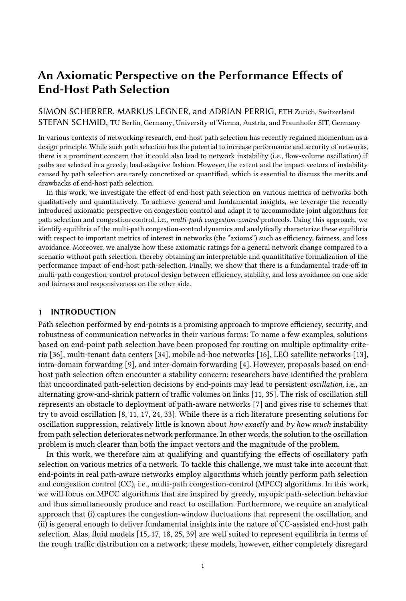In research about multi-path congestion control, there has been widespread use of fluid models which can better represent congestion-control dynamics [\[15,](#page-20-9) [17,](#page-20-7) [18,](#page-20-10) [25\]](#page-20-11). However, also these models focus on representing equilibria in terms of approximate traffic distributions on networks and do not capture stability-relevant small-scale dynamics such as congestion-window fluctuations. More applied approaches rely on reasoning from network examples and experimental validation and have been used in the design of MPTCP algorithms such as LIA [\[27,](#page-20-13) [40\]](#page-21-5) and OLIA [\[19\]](#page-20-12). These approaches are rather suited for the design of concrete protocols than for the elicitation of fundamental properties of end-host path selection. Moreover, MPTCP research typically only investigates the effects of path selection by scrutinizing friendliness concerns between single-path and multi-path TCP users in the same network, not by looking at the impact that the introduction of end-host path selection has on aggregate performance based on various metrics.

In contrast, the axiomatic approach used in this paper allows to qualify and quantify the performance impact of path selection on a fundamental level while taking congestion-control dynamics into account. Thanks to this power, the axiomatic perspective has been applied to various topics beyond game theory: In computer science, for example, research on congestion control [\[41\]](#page-21-6), routing protocols [\[21\]](#page-20-24), and recommendation systems [\[3\]](#page-20-25) have benefited from axiom-based approaches.

The effects of end-host path selection have also been characterized by Wang et al. [\[38\]](#page-21-7), whose 'cost of not splitting in routing' captures the difference in network utility between a scenario where end-hosts select a single path and a scenario where multiple paths can be selected. However, this work differs from ours in investigating static rate allocations instead of dynamic rate evolution, in evaluating a single metric (utility) instead of multiple axioms, and in contrasting different modes of end-host path selection instead of contrasting path selection with path pre-determination.

#### 8 CONCLUSION

Motivated by a stability concern about end-host path selection, we qualify and quantify the performance impact of such path-selection-induced instability in this work. More precisely, we analyze a general network in which end-hosts employ greedy load-adaptive path selection and characterize the resulting traffic pattern with respect to five metrics of interest ("axioms"): efficiency, loss avoidance, convergence, fairness and responsiveness. Through this analysis, we show how the performance impact of end-host path selection depends on the path-migration behavior, the underlying congestion-control protocol, and the structure of the network. Among the dependencies that we present and explain, there are both intuitive, well-known dependencies (e.g., high migration rates decrease efficiency) and non-intuitive, more complex dependencies (e.g., very low migration rates increase loss). Moreover, we show that there are fundamental limitations such that no multipath congestion-control protocol can optimize all metrics simultaneously.

We understand our work as a first step, which allows many avenues for follow-up research. For example, it would be interesting to extend the model for additional congestion-control behaviors (e.g., latency-based protocols or model-based protocols such as BBR [\[6\]](#page-20-26)), additional path-switching behaviors (e.g., based on a path-switching probability proportional to the load difference between paths) and more general networks. However, while our insights admittedly stem from a simplified model, we believe that the illustrated dependencies and the axiomatic reasoning in general can inform the discussion about the merits and perils of end-host path selection.

#### ACKNOWLEDGEMENTS

We gratefully acknowledge support from ETH Zurich, from SNSF for project ESCALATE (200021L -182005), and from the Austrian Science Fund (FWF) for project I 4800-N (ADVISE), 2020-2023. Moreover, we thank Joel Wanner for his helpful feedback, the anonymous reviewers for their careful reviews, and Edmundo de Souza e Silva for his shepherding.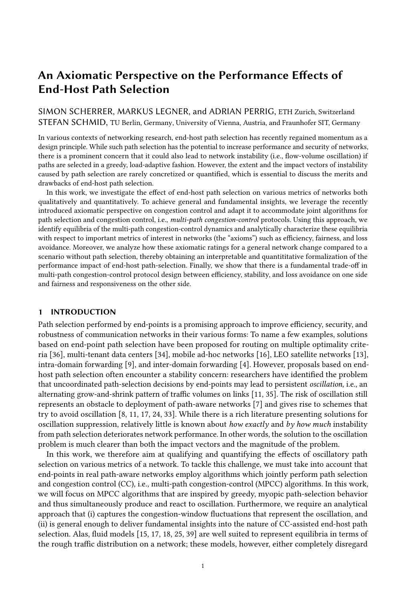### REFERENCES

- <span id="page-20-20"></span>[1] Aditya Akella, Srinivasan Seshan, Richard Karp, Scott Shenker, and Christos Papadimitriou. 2002. Selfish behavior and stability of the Internet: A game-theoretic analysis of TCP. ACM SIGCOMM Computer Communication Review 32, 4 (2002), 117–130.
- <span id="page-20-18"></span>[2] Eitan Altman, KE Avrachenkov, and BJ Prabhu. 2005. Fairness in MIMD congestion control algorithms. Telecommunication Systems (2005).
- <span id="page-20-25"></span>[3] Reid Andersen, Christian Borgs, Jennifer Chayes, Uriel Feige, Abraham Flaxman, Adam Kalai, Vahab Mirrokni, and Moshe Tennenholtz. 2008. Trust-based recommendation systems: an axiomatic approach. In Proceedings of the International Conference on World Wide Web. 199–208.
- <span id="page-20-3"></span>[4] David Barrera, Laurent Chuat, Adrian Perrig, Raphael M Reischuk, and Pawel Szalachowski. 2017. The SCION Internet Architecture. Commun. ACM (2017).
- <span id="page-20-14"></span>[5] Douglas H Blair and Robert A Pollak. 1982. Acyclic collective choice rules. Econometrica: Journal of the Econometric Society (1982).
- <span id="page-20-26"></span>[6] Neal Cardwell, Yuchung Cheng, C Stephen Gunn, Soheil Hassas Yeganeh, and Van Jacobson. 2016. BBR: Congestionbased congestion control. Queue 14, 5 (2016), 20–53.
- <span id="page-20-5"></span>[7] Spencer Dawkins. 2020. Path Aware Networking: Obstacles to Deployment (A Bestiary of Roads Not Taken). Internet-Draft draft-irtf-panrg-what-not-to-do-16. Internet Engineering Task Force. [https://datatracker.ietf.org/doc/html/draft-irtf](https://datatracker.ietf.org/doc/html/draft-irtf-panrg-what-not-to-do-16)[panrg-what-not-to-do-16](https://datatracker.ietf.org/doc/html/draft-irtf-panrg-what-not-to-do-16) Work in Progress.
- <span id="page-20-6"></span>[8] Anwar Elwalid, Cheng Jin, Steven Low, and Indra Widjaja. 2002. MATE: Multipath Adaptive Traffic Engineering. Computer Networks (2002).
- <span id="page-20-2"></span>[9] Clarence Filsfils, Nagendra Kumar Nainar, Carlos Pignataro, Juan Camilo Cardona, and Pierre Francois. 2015. The segment routing architecture. In IEEE Global Communications Conference (GLOBECOM).
- <span id="page-20-23"></span>[10] Simon Fischer and Berthold Vöcking. 2004. On the evolution of selfish routing. In European Symposium on Algorithms. Springer, 323–334.
- <span id="page-20-4"></span>[11] Simon Fischer and Berthold Vöcking. 2009. Adaptive Routing with Stale Information. Theoretical Computer Science (2009).
- <span id="page-20-19"></span>[12] Oded Galor. 2007. Discrete dynamical systems. Springer Science & Business Media.
- <span id="page-20-1"></span>[13] Giacomo Giuliari, Tobias Klenze, Markus Legner, David Basin, Adrian Perrig, and Ankit Singla. 2020. Internet backbones in space. ACM SIGCOMM Computer Communication Review (2020).
- <span id="page-20-17"></span>[14] Sangtae Ha, Injong Rhee, and Lisong Xu. 2008. CUBIC: a new TCP-friendly high-speed TCP variant. ACM SIGOPS Review (2008).
- <span id="page-20-9"></span>[15] Huaizhong Han, Srinivas Shakkottai, Christopher V Hollot, Rayadurgam Srikant, and Don Towsley. 2006. Multi-path tcp: a joint congestion control and routing scheme to exploit path diversity in the internet. IEEE/ACM Transactions on networking (2006).
- <span id="page-20-0"></span>[16] David B Johnson and David A Maltz. 1996. Dynamic source routing in ad hoc wireless networks. In Mobile computing. Springer.
- <span id="page-20-7"></span>[17] Frank Kelly and Thomas Voice. 2005. Stability of end-to-end algorithms for joint routing and rate control. ACM SIGCOMM Computer Communication Review (2005).
- <span id="page-20-10"></span>[18] Peter Key, Laurent Massoulié, and Don Towsley. 2007. Path selection and multipath congestion control. In IEEE International Conference on Computer Communications (INFOCOM). IEEE, 143–151.
- <span id="page-20-12"></span>[19] Ramin Khalili, Nicolas Gast, Miroslav Popovic, and Jean-Yves Le Boudec. 2013. MPTCP is not Pareto-optimal: Performance issues and a possible solution. IEEE/ACM Transactions on Networking (2013).
- <span id="page-20-21"></span>[20] Elias Koutsoupias and Christos Papadimitriou. 1999. Worst-case equilibria. In Annual Symposium on Theoretical Aspects of Computer Science. Springer, 404–413.
- <span id="page-20-24"></span>[21] Omer Lev, Moshe Tennenholtz, and Aviv Zohar. 2015. An axiomatic approach to routing. In INFOCOM.
- <span id="page-20-16"></span>[22] Jeonghoon Mo, Richard J La, Venkat Anantharam, and Jean Walrand. 1999. Analysis and comparison of TCP Reno and Vegas. In INFOCOM. IEEE.
- <span id="page-20-15"></span>[23] John F Nash Jr. 1950. The bargaining problem. Econometrica: Journal of the Econometric Society (1950).
- <span id="page-20-8"></span>[24] Srihari Nelakuditi, Zhi-Li Zhang, Rose P Tsang, and David Hung-Chang Du. 2002. Adaptive Proportional Routing: a Localized QoS Routing Approach. IEEE/ACM Transactions on Networking (2002).
- <span id="page-20-11"></span>[25] Qiuyu Peng, Anwar Walid, and Steven H Low. 2013. Multipath TCP algorithms: theory and design. ACM SIGMETRICS Performance Evaluation Review (2013).
- <span id="page-20-22"></span>[26] Lili Qiu, Yang Richard Yang, Yin Zhang, and Scott Shenker. 2003. On selfish routing in Internet-like environments. In Proceedings of the Conference on Applications, Technologies, Architectures, and Protocols for Computer Communications.
- <span id="page-20-13"></span>[27] Costin Raiciu, Mark Handley, and Damon Wischik. 2011. Coupled congestion control for multipath transport protocols. RFC 6356.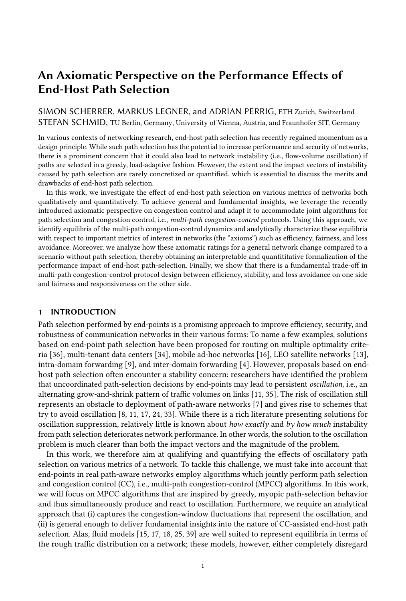- <span id="page-21-9"></span>[28] Robert W Rosenthal. 1973. A class of games possessing pure-strategy Nash equilibria. International Journal of Game Theory (1973).
- <span id="page-21-11"></span>[29] Tim Roughgarden. 2003. The price of anarchy is independent of the network topology. J. Comput. System Sci. (2003).
- <span id="page-21-10"></span>[30] Tim Roughgarden. 2007. Routing games. Vol. 18. Cambridge University Press, 459–484. [https://doi.org/10.1017/](https://doi.org/10.1017/CBO9780511800481.020) [CBO9780511800481.020](https://doi.org/10.1017/CBO9780511800481.020)
- <span id="page-21-12"></span>[31] Tim Roughgarden and Éva Tardos. 2002. How bad is selfish routing? *J. ACM* (2002).
- <span id="page-21-13"></span>[32] William H Sandholm. 2001. Potential games with continuous player sets. Journal of Economic theory (2001).
- <span id="page-21-3"></span>[33] Simon Scherrer, Markus Legner, Adrian Perrig, and Stefan Schmid. 2020. Incentivizing Stable Path Selection in Future Internet Architectures. International Symposium on Computer Performance, Modeling, Measurements and Evaluation (2020).
- <span id="page-21-1"></span>[34] Muhammad Shahbaz, Lalith Suresh, Jennifer Rexford, Nick Feamster, Ori Rottenstreich, and Mukesh Hira. 2019. Elmo: Source routed multicast for public clouds. In Proceedings of ACM SIGCOMM. 458–471.
- <span id="page-21-2"></span>[35] Anees Shaikh, Jennifer Rexford, and Kang G Shin. 2001. Evaluating the Impact of Stale Link State on Quality-of-Service routing. IEEE/ACM Transactions on Networking (2001).
- <span id="page-21-0"></span>[36] João Luís Sobrinho and Miguel Alves Ferreira. 2020. Routing on Multiple Optimality Criteria. In Proceedings of the Annual conference of the ACM Special Interest Group on Data Communication on the applications, technologies, architectures, and protocols for computer communication. 211–225.
- <span id="page-21-8"></span>[37] Wright Stevens et al. 1997. TCP slow start, congestion avoidance, fast retransmit, and fast recovery algorithms. RFC 2001.
- <span id="page-21-7"></span>[38] Meng Wang, Chee Wei Tan, Weiyu Xu, and Ao Tang. 2011. Cost of not splitting in routing: Characterization and estimation. IEEE/ACM Transactions on Networking 19, 6 (2011), 1849–1859.
- <span id="page-21-4"></span>[39] John Glen Wardrop. 1952. Some theoretical aspects of road traffic research. Proceedings of the institution of civil engineers (1952).
- <span id="page-21-5"></span>[40] Damon Wischik, Costin Raiciu, Adam Greenhalgh, and Mark Handley. 2011. Design, Implementation and Evaluation of Congestion Control for Multipath TCP. In NSDI, Vol. 11. 8–8.
- <span id="page-21-6"></span>[41] Doron Zarchy, Radhika Mittal, Michael Schapira, and Scott Shenker. 2019. Axiomatizing congestion control. Proceedings of the ACM Conference on Measurement and Analysis of Computing Systems (SIGMETRICS) 3, 2 (2019), 1–33.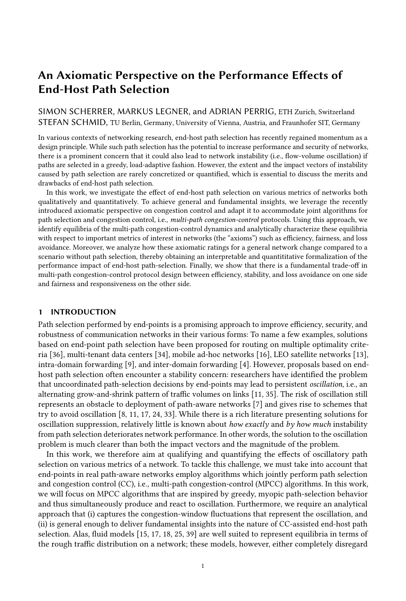#### <span id="page-22-0"></span>A ANALYSIS OF THE CONTINUITY-TIME DISTRIBUTION

The agent dynamics involved in  $P$ -step oscillation (Definition [1\)](#page-6-4) allow to estimate how long the agents on a path have already been using that path without a packet loss, i.e., allow to characterize the distribution of the continuity time introduced above. For the following analysis, we introduce the notation  $\theta^1\pi$ ,  $t^\circ$ , which shall denote the time since the most recent loss event on path  $\pi$  at time t.

We now derive a probability distribution P  $\tau_i^1 t^\circ = \tau$ , giving the probability that agent *i* on path  $\pi_i^1 t^\circ$  has continuity time  $\tau$  2 N at time t. This distribution will later be used to determine the expected congestion-window increase  $\hat{\alpha}_{\pi}^{\dagger}t^{\circ}$  in Eq. [\(4b\)](#page-5-0). We consider an arbitrary agent *i* 2 *A* at an arbitrary time t, residing on path  $\pi_i^1 t^\circ$ . Clearly, agent i must have continuity time  $\tau_i^1 t^\circ = 0$  right after a loss event, i.e., whenever  $\theta^1 \pi_i^1 t^0$ ,  $t^0 = 0$ , irrespective of the rank of  $\pi_i^1 t^0$ :

$$
8t \text{ s.t. } \theta \pi_i^{-1}t^0, t = 0, p \ 2 \ \text{PW}. \quad \text{P} \ \tau_i^{-1}t^0 = 0 \ \text{rank} \ \pi_i^{-1}t^0, t = p = 1 \tag{33}
$$

However, in the subsequent time steps, where  $\theta \pi_i^{\dagger} \theta$ ,  $\theta$ , the continuity-time distribution of agent *i* on path  $\pi_i^1 t^0$  depends on the rank of that path. If rank  $\pi_i^1 t^0$ ,  $t^0 = 0$  or, equivalently, rank<sup>1</sup> $\pi_i$ <sup>1</sup>t 1<sup>o</sup>, t 1 =  $\vec{P}$  1, all the  $\hat{a}^{1p}$  <sup>1°</sup> agents that were on path  $\pi$  in the last time step  $t$  1 have remained on the path and have increased their continuity time by 1, but their *relative* share is reduced by on-migration from other paths:

$$
8t \text{ s.t. } \theta \pi_i^1 t^0, t \neq j \quad 0, \ \tau \neq 0.
$$
\n
$$
P \tau_i^1 t^0 = \tau \text{ rank } \pi_i^1 t^0, t = 0
$$
\n
$$
= P \tau_i \ t \quad 1 = \tau \quad 1 \text{ rank } \pi_i^1 t \quad 1^0, t \quad 1 = P \quad 1 \quad \hat{a}^{1P} \cdot \hat{a}^{10^0}
$$
\n
$$
= P \tau_i \ t \quad 1 = \tau \quad 1 \text{ rank } \pi_i^1 t \quad 1^0, t \quad 1 = P \quad 1 \quad 1 \quad m^{0P} \quad 1
$$
\n
$$
(34)
$$

All the  $m^{-1}N \quad \hat{a}^{1p-10}$  agents that migrated from the other paths have continuity time 0:

$$
8t \text{ s.t. } \theta \pi_i^{-1}t^0, t \quad j \quad 0. \quad P \quad \tau_i^{-1}t^0 = 0 \quad \text{rank } \pi_i^{-1}t^0, t \quad = 0 \quad = \frac{m^{-1}N}{\hat{a}^{10^0}} \frac{\hat{a}^{1P} \quad 1^{00}}{\hat{a}^{10^0}} = 1 \quad 1 \quad m^{0P-1}. \tag{35}
$$

If path  $\pi_i^+i^o$  has rank $\pi_i^+i^o$ ,  $t^o < 0$ , the continuity-time distribution has been shifted up by 1 in the last time step, but is otherwise unaffected:

8t s.t.  $\theta$   $\pi_i$ <sup>1</sup>t<sup>o</sup>, t j 0, p 2 »P\k n f0g,  $\tau$  j 0.

$$
\Pr_{\tau_i^{-1}} t^0 = \tau \text{ j rank } \pi_i^{-1} t^0, t = p = \Pr_{\tau_i^{-1}} t \quad 1^0 = \tau \quad 1 \text{ j rank } \pi_i^{-1} t \quad 1^0, t \quad 1 = p \quad 1 \tag{36}
$$

These recursive characterizations of the probability distribution are equivalent to the following explicit definition of the continuity-time distribution, which is visualized in Fig. [12:](#page-25-2)

INSIGHT 13. At time t, the probability that an agent i on a path  $\pi_i^1 t^\circ$  with rank p and time since last loss  $\theta \pi_i^1 t^0$ , t has continuity time  $\tau$  is

$$
P \tau; t, p := P \tau_i^1 t^0 = \tau \text{ j rank } \pi_i^1 t^0, t = p
$$
\n
$$
\sum_{i=1}^{n} \frac{1}{i!} \frac{1}{i!} \frac{m^0 \sigma_i^1 t^0 e^{i} P^{1^0}}{m^0 P^{1^0}} \text{ if } t = \theta \pi_i^1 t^0, t
$$
\n
$$
= \sum_{i=1}^{n} \frac{1}{i!} \frac{1}{i!} \frac{1}{i!} \frac{m^0 P^{1^0}}{m^0 P^{1^0}} \frac{1}{i!} \frac{1}{i!} \frac{1}{i!} \frac{1}{i!} \frac{1}{i!} \frac{1}{i!} \frac{1}{i!} \frac{1}{i!} \frac{1}{i!} \frac{1}{i!} \frac{1}{i!} \frac{1}{i!} \frac{1}{i!} \frac{1}{i!} \frac{1}{i!} \frac{1}{i!} \frac{1}{i!} \frac{1}{i!} \frac{1}{i!} \frac{1}{i!} \frac{1}{i!} \frac{1}{i!} \frac{1}{i!} \frac{1}{i!} \frac{1}{i!} \frac{1}{i!} \frac{1}{i!} \frac{1}{i!} \frac{1}{i!} \frac{1}{i!} \frac{1}{i!} \frac{1}{i!} \frac{1}{i!} \frac{1}{i!} \frac{1}{i!} \frac{1}{i!} \frac{1}{i!} \frac{1}{i!} \frac{1}{i!} \frac{1}{i!} \frac{1}{i!} \frac{1}{i!} \frac{1}{i!} \frac{1}{i!} \frac{1}{i!} \frac{1}{i!} \frac{1}{i!} \frac{1}{i!} \frac{1}{i!} \frac{1}{i!} \frac{1}{i!} \frac{1}{i!} \frac{1}{i!} \frac{1}{i!} \frac{1}{i!} \frac{1}{i!} \frac{1}{i!} \frac{1}{i!} \frac{1}{i!} \frac{1}{i!} \frac{1}{i!} \frac{1}{i!} \frac{1}{i!} \frac{1}{i!} \frac{1}{i!} \frac{1}{i!} \frac{1}{i!} \frac{1}{i!} \frac{1}{i!} \frac{1}{i!} \frac{1}{i
$$

On a path  $\pi$  with rank  $p$  at time  $t$ , the expected additive increase  $\hat{\alpha}_{\pi}^{\dagger}t^{\circ}$  at time  $t$  is therefore:

$$
\hat{\alpha}_{\pi}^{-1}t^{\circ} = {}^{1}1 \quad m^{\circ} \stackrel{\text{I}_{\theta,p} \text{m}}{P} {}^{1}P {}^{1}^{\circ} \quad \alpha^{\circ}t^{\theta^{\circ}} \quad \overset{\text{d}^{1}\theta}{\bullet} \overset{\text{de}}{P}{}^{0} {}^{1}1 \quad 11 \quad m^{\circ P} {}^{1} \circ {}^{1}1 \quad m^{\circ k^{\circ}P} {}^{1}^{\circ} \quad \alpha^{\circ}Tk \quad p^{\circ} \quad (38)
$$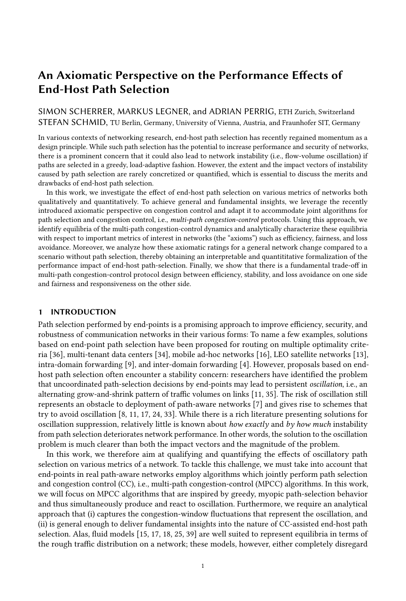<span id="page-23-1"></span>

Fig. 10. Simulated MPCC dynamics  $f^1a_\pi{}^1t^0$ ,  $f_\pi{}^1t^{00}g_{\pi2\Pi}$  (gray dashed) and expected MPCC dynamics  $f^3 \hat{a}_{\pi}^1 t^0$ ,  $\hat{f}_{\pi}^1 t^{00} g_{\pi} 2\Pi$  (in color) for  $P = 3$ ,  $N = 1000$ ,  $\alpha^1 \tau^0 = 1$ ,  $\beta = 0.7$ , and  $C_{\pi} = 12000$  for every  $\pi$  2 II.

where  $\theta = \theta^1 \pi$ ,  $t^0$ .

For increasing time since the last loss  $(\theta \mid 1)$ , the expected average additive increase on a path with rank  $p$  converges to the following quantity, which can be easily computed for any additive-increase function  $\alpha$ :

$$
\hat{\alpha}^{1}p^{\circ} = \bigotimes_{k=0}^{\infty} 11 \quad 11 \quad m^{\circ P} \quad 10 \quad 11 \quad m^{\circ k^{\circ}P} \quad 1^{\circ} \quad \alpha^{\circ}Pk \quad p^{\circ} \tag{39}
$$

#### <span id="page-23-0"></span>B APPROXIMATION ACCURACY

The expected MPCC dynamics in Eq. [\(4\)](#page-5-0) are an approximation of the actual probabilistic MPCC dynamics in Eq. [\(2\)](#page-4-0), which are unsuitable for analytic investigation. In order to demonstrate the accuracy of this approximation, we present a comparison between the actual dynamics and the expected dynamics for a selection of parameters in Fig. [10.](#page-23-1) In each sub-figure, the actual MPCC dynamics from Eqs. [\(2a\)](#page-4-1) and [\(2b\)](#page-4-0) are simulated and shown with light gray lines, and the expected dynamics are computed and drawn with colored lines (agent dynamics in dotted lines, flow dynamics in dashed lines).

In Fig. [10\(](#page-23-1)a) and Fig. 10(b) (i.e.,  $r < 1$ ), the expected dynamics are compared with results from 5 simulation runs of the actual dynamics. The expected dynamics appropriately capture the structure of both the agent dynamics and the flow dynamics, in particular the curvature, the convergence behavior and the reaction to loss (e.g., at  $t = 35$  in Fig. [10\(](#page-23-1)b)). As the actual dynamics are realizations of a random variable, their values deviate from the expectation; however, the variance is modest.

In Fig. [10\(](#page-23-1)c) (i.e,  $r = 1$ ), the actual flow dynamics look more different from the expected flow dynamics than for  $r < 1$ . This difference is due to loss events at different points in time, which can even result in case of low variance, but make the dynamics look quite different. However, the pattern of recurring loss is well captured by the expected dynamics. In order to make this similarity visible, only one simulation run of the actual dynamics is shown.

The analysis above is repeated for more paths and a non-constant additive-increase function in Appendix [B.](#page-23-0) In particular, we repeat this analysis for constant additive increase, but with  $P = 5$ (cf. Fig. [11a\)](#page-24-0), as well as with an additive-increase function that mimics TCP slow-start behavior  $(\alpha_S^1 \tau^0 = 2^{\tau}$  if  $\tau$   $\check{Y}$  5 else 1) for both  $P = 3$  (cf. Fig. [11b\)](#page-24-0) and  $P = 5$  (cf. Fig. [11c\)](#page-24-0).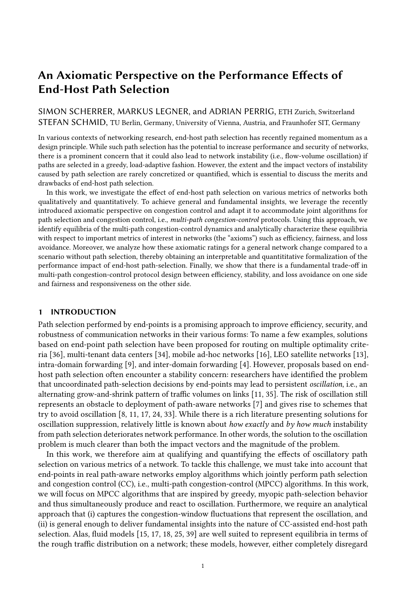<span id="page-24-0"></span>

(c)  $P = 5$ ,  $\alpha_S^{-1} \tau^0 = 2^{\tau}$  if  $\tau$   $\gamma$  5 else 1.

Fig. 11. Comparison of model and simulations to demonstrate approximation accuracy.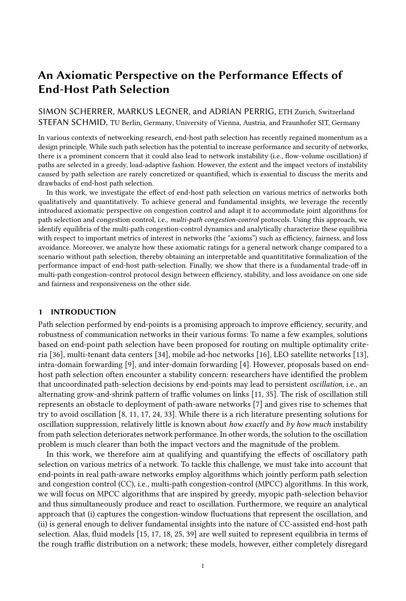<span id="page-25-2"></span>



Fig. 12. Continuity-time distribution for  $P = 3$ ,  $m =$ 0.15, and different  $\theta$ . The dashed lines represent the function  $1_1$   $1_1$   $m^{\circ P}$   $1^{\circ}$   $1_1$   $m^{\circ 1}$   $n^{\circ}$   $p^{\circ}$   $p^{\circ}$   $1^{\circ}$   $1^{\circ}$ .

Fig. 13. Visualization of parameter sub-space that is inconsistent with  $P$ -step oscillation for different additive-increase functions  $\alpha_1^1 \tau^0 = 1$  and  $\alpha_S^1 \tau^0 =$ <sup>1</sup>2<sup> $\tau$ </sup> if  $\tau$   $\dot{Y}$  5 else 1<sup>o</sup>.

## <span id="page-25-1"></span>C LOGICAL CONSISTENCY OF P-STEP OSCILLATION

In Section [3.3,](#page-8-0) we have shown that given P-step oscillation and without capacity limits, the flow dynamics exponentially converge to a dynamic equilibrium where the rank- $p$  path carries flow volume  $\hat{f}^{\dagger}p^{\circ}$  in every time step. The general rank-*p* equilibrium flow volume is given by the following term:

$$
\hat{f}^{\dagger}p^{\circ} = \frac{\int_{p^{0}=0}^{p^{0}=1} \frac{1}{1-m^{0}p^{0}} p^{\circ} \hat{a}^{\dagger}p^{\circ}}{1} \frac{\hat{a}^{\dagger}p^{\circ}}{1} \frac{\hat{a}^{\dagger}p^{\circ}}{1} \frac{\hat{a}^{\dagger}p^{\circ}}{1} \frac{\hat{a}^{\dagger}p^{\circ}}{1} \frac{\hat{a}^{\dagger}p^{0}}{1} \frac{\hat{a}^{\dagger}p^{0}}{1} \frac{\hat{a}^{\dagger}p^{0}}{1} \frac{\hat{a}^{\dagger}p^{0}}{1} \frac{\hat{a}^{\dagger}p^{\circ}}{1} \frac{\hat{a}^{\dagger}p^{\circ}}{1} \frac{\hat{a}^{\dagger}p^{\circ}}{1} \frac{\hat{a}^{\dagger}p^{\circ}}{1} \frac{\hat{a}^{\dagger}p^{\circ}}{1} \frac{\hat{a}^{\dagger}p^{\circ}}{1} \frac{\hat{a}^{\dagger}p^{\circ}}{1} \frac{\hat{a}^{\dagger}p^{\circ}}{1} \frac{\hat{a}^{\dagger}p^{\circ}}{1} \frac{\hat{a}^{\dagger}p^{\circ}}{1} \frac{\hat{a}^{\dagger}p^{\circ}}{1} \frac{\hat{a}^{\dagger}p^{\circ}}{1} \frac{\hat{a}^{\dagger}p^{\circ}}{1} \frac{\hat{a}^{\dagger}p^{\circ}}{1} \frac{\hat{a}^{\dagger}p^{\circ}}{1} \frac{\hat{a}^{\circ}}{1} \frac{\hat{a}^{\circ}}{1} \frac{\hat{a}^{\circ}}{1} \frac{\hat{a}^{\circ}}{1} \frac{\hat{a}^{\circ}}{1} \frac{\hat{a}^{\circ}}{1} \frac{\hat{a}^{\circ}}{1} \frac{\hat{a}^{\circ}}{1} \frac{\hat{a}^{\circ}}{1} \frac{\hat{a}^{\circ}}{1} \frac{\hat{a}^{\circ}}{1} \frac{\hat{a}^{\circ}}{1} \frac{\hat{a}^{\circ}}{1} \frac{\hat{a}^{\circ}}{1} \frac{\hat{a}^{\circ}}{1} \frac{\hat{a}^{\circ}}{1} \frac{\hat{a}^{\
$$

<span id="page-25-0"></span>Interestingly, analyzing the equilibrium flow volumes  $\hat{f}^{\dagger p^{\circ}} g_{p2\,}{}_{p_{\mathfrak{h}}}$  allows to draw conclusions about the occurrence of  $P$ -step oscillation for a certain parameter combination, which works by logical contraposition: If P-step oscillation occurs for a certain parameter combination, then P-step oscillation produces the equilibrium flow volumes  $f \hat{f}^1{}^{p} \hat{g}_{p2}{}_{p}$ . However, if the equilibrium flow volumes are themselves inconsistent with P-step oscillation, i.e., if  $\hat{f}^1{}^{p^{\circ}}$   $\hat{Y} \hat{f}^1{}^{p}$ ,  $\hat{I}^{\circ}$  for some  $p \geq \hat{I}$  1¼, then the equilibrium cannot exist and there is a contradiction. This contradiction suggests that  $P$ -step oscillation is fundamentally impossible for the given parameter combination, as  $P$ -step oscillation would have produced the equilibrium flow volumes if it had occurred.<sup>[8](#page-25-3)</sup>

Based on this reasoning, we can find a parameter sub-space for which P-step oscillation is impossible. More precisely, given any parameter combination, we can compute the equilibrium flow volumes  $\int \hat{f}^1 P^\circ \psi_{p^2}$  and check if  $\hat{f}^1 P^\circ \circ \hat{f}^1 P^\circ \circ \hat{f}^1 P^\circ$  for any  $p \geq p$  1\%. As Eq. [\(40\)](#page-25-0) shows, the parameter space for the equilibrium flow volumes consists of the migration rate  $m$ , the reset softness r, the number of paths P, the additive-increase function  $\alpha^1 \tau^0$ , and the number of agents N (appearing in  $\hat{a}^{\dagger}p^{\circ}$ ). Luckily, as N is a linear coefficient of  $\hat{f}^{\dagger}p^{\circ}$  and N i 0, N can be eliminated in the inequality  $\hat{f}^1{}^{p^0}$   $\hat{Y}$   $\hat{f}^1{}^{p_1}$   $\hat{I}^0$ . We performed such an exploration of the parameter space with a focus

<span id="page-25-3"></span> $8$ Note that the inverse is not true: The absence of a contradiction does not mean that  $P$ -step oscillation necessarily occurs for a given parameter combination.